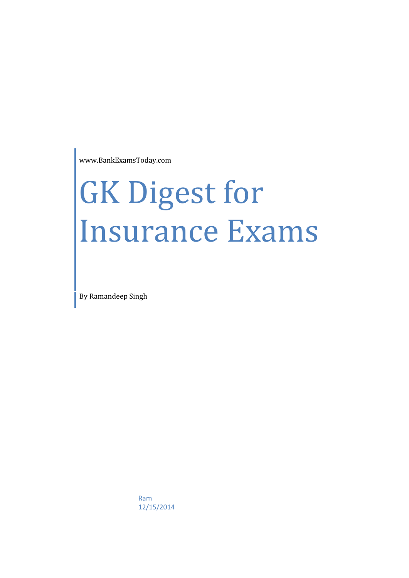www.BankExamsToday.com

# GK Digest for Insurance Exams

By Ramandeep Singh

Ram 12/15/2014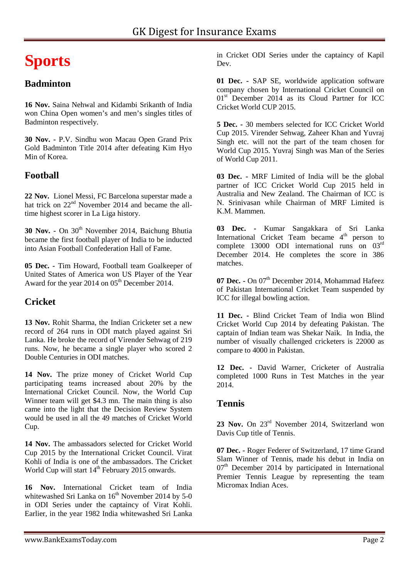# **Sports**

#### **Badminton**

**16 Nov.** Saina Nehwal and Kidambi Srikanth of India won China Open women's and men's singles titles of Badminton respectively.

**30 Nov. -** P.V. Sindhu won Macau Open Grand Prix Gold Badminton Title 2014 after defeating Kim Hyo Min of Korea.

#### **Football**

**22 Nov.** Lionel Messi, FC Barcelona superstar made a hat trick on  $22<sup>nd</sup>$  November 2014 and became the alltime highest scorer in La Liga history.

**30 Nov. -** On 30th November 2014, Baichung Bhutia became the first football player of India to be inducted into Asian Football Confederation Hall of Fame.

**05 Dec. -** Tim Howard, Football team Goalkeeper of United States of America won US Player of the Year Award for the year 2014 on  $05<sup>th</sup>$  December 2014.

#### **Cricket**

**13 Nov.** Rohit Sharma, the Indian Cricketer set a new record of 264 runs in ODI match played against Sri Lanka. He broke the record of Virender Sehwag of 219 runs. Now, he became a single player who scored 2 Double Centuries in ODI matches.

**14 Nov.** The prize money of Cricket World Cup participating teams increased about 20% by the International Cricket Council. Now, the World Cup Winner team will get \$4.3 mn. The main thing is also came into the light that the Decision Review System would be used in all the 49 matches of Cricket World Cup.

**14 Nov.** The ambassadors selected for Cricket World Cup 2015 by the International Cricket Council. Virat Kohli of India is one of the ambassadors. The Cricket World Cup will start  $14<sup>th</sup>$  February 2015 onwards.

**16 Nov.** International Cricket team of India whitewashed Sri Lanka on  $16<sup>th</sup>$  November 2014 by 5-0 in ODI Series under the captaincy of Virat Kohli. Earlier, in the year 1982 India whitewashed Sri Lanka in Cricket ODI Series under the captaincy of Kapil Dev.

**01 Dec. -** SAP SE, worldwide application software company chosen by International Cricket Council on 01<sup>st</sup> December 2014 as its Cloud Partner for ICC Cricket World CUP 2015.

**5 Dec. -** 30 members selected for ICC Cricket World Cup 2015. Virender Sehwag, Zaheer Khan and Yuvraj Singh etc. will not the part of the team chosen for World Cup 2015. Yuvraj Singh was Man of the Series of World Cup 2011.

**03 Dec. -** MRF Limited of India will be the global partner of ICC Cricket World Cup 2015 held in Australia and New Zealand. The Chairman of ICC is N. Srinivasan while Chairman of MRF Limited is K.M. Mammen.

**03 Dec. -** Kumar Sangakkara of Sri Lanka International Cricket Team became  $4<sup>th</sup>$  person to complete 13000 ODI international runs on 03rd December 2014. He completes the score in 386 matches.

07 Dec. - On 07<sup>th</sup> December 2014, Mohammad Hafeez of Pakistan International Cricket Team suspended by ICC for illegal bowling action.

**11 Dec. -** Blind Cricket Team of India won Blind Cricket World Cup 2014 by defeating Pakistan. The captain of Indian team was Shekar Naik. In India, the number of visually challenged cricketers is 22000 as compare to 4000 in Pakistan.

**12 Dec. -** David Warner, Cricketer of Australia completed 1000 Runs in Test Matches in the year 2014.

#### **Tennis**

23 Nov. On 23<sup>rd</sup> November 2014, Switzerland won Davis Cup title of Tennis.

**07 Dec. -** Roger Federer of Switzerland, 17 time Grand Slam Winner of Tennis, made his debut in India on  $07<sup>th</sup>$  December 2014 by participated in International Premier Tennis League by representing the team Micromax Indian Aces.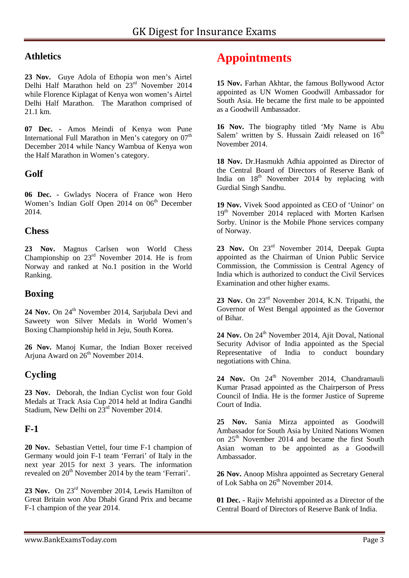#### **Athletics**

**23 Nov.** Guye Adola of Ethopia won men's Airtel Delhi Half Marathon held on 23<sup>rd</sup> November 2014 while Florence Kiplagat of Kenya won women's Airtel Delhi Half Marathon. The Marathon comprised of 21.1 km.

**07 Dec. -** Amos Meindi of Kenya won Pune International Full Marathon in Men's category on  $07<sup>th</sup>$ December 2014 while Nancy Wambua of Kenya won the Half Marathon in Women's category.

#### **Golf**

**06 Dec. -** Gwladys Nocera of France won Hero Women's Indian Golf Open 2014 on 06<sup>th</sup> December 2014.

#### **Chess**

**23 Nov.** Magnus Carlsen won World Chess Championship on  $23<sup>rd</sup>$  November 2014. He is from Norway and ranked at No.1 position in the World Ranking.

#### **Boxing**

24 Nov. On 24<sup>th</sup> November 2014, Sarjubala Devi and Saweety won Silver Medals in World Women's Boxing Championship held in Jeju, South Korea.

**26 Nov.** Manoj Kumar, the Indian Boxer received Arjuna Award on 26<sup>th</sup> November 2014.

#### **Cycling**

**23 Nov.** Deborah, the Indian Cyclist won four Gold Medals at Track Asia Cup 2014 held at Indira Gandhi Stadium, New Delhi on  $23<sup>rd</sup>$  November 2014.

#### **F-1**

**20 Nov.** Sebastian Vettel, four time F-1 champion of Germany would join F-1 team 'Ferrari' of Italy in the next year 2015 for next 3 years. The information revealed on 20<sup>th</sup> November 2014 by the team 'Ferrari'.

23 Nov. On 23<sup>rd</sup> November 2014, Lewis Hamilton of Great Britain won Abu Dhabi Grand Prix and became F-1 champion of the year 2014.

## **Appointments**

**15 Nov.** Farhan Akhtar, the famous Bollywood Actor appointed as UN Women Goodwill Ambassador for South Asia. He became the first male to be appointed as a Goodwill Ambassador.

**16 Nov.** The biography titled 'My Name is Abu Salem' written by S. Hussain Zaidi released on  $16<sup>th</sup>$ November 2014.

**18 Nov.** Dr.Hasmukh Adhia appointed as Director of the Central Board of Directors of Reserve Bank of India on  $18<sup>th</sup>$  November 2014 by replacing with Gurdial Singh Sandhu.

**19 Nov.** Vivek Sood appointed as CEO of 'Uninor' on 19<sup>th</sup> November 2014 replaced with Morten Karlsen Sorby. Uninor is the Mobile Phone services company of Norway.

23 Nov. On 23<sup>rd</sup> November 2014, Deepak Gupta appointed as the Chairman of Union Public Service Commission, the Commission is Central Agency of India which is authorized to conduct the Civil Services Examination and other higher exams.

**23 Nov.** On 23rd November 2014, K.N. Tripathi, the Governor of West Bengal appointed as the Governor of Bihar.

24 Nov. On 24<sup>th</sup> November 2014, Ajit Doval, National Security Advisor of India appointed as the Special Representative of India to conduct boundary negotiations with China.

24 Nov. On 24<sup>th</sup> November 2014, Chandramauli Kumar Prasad appointed as the Chairperson of Press Council of India. He is the former Justice of Supreme Court of India.

**25 Nov.** Sania Mirza appointed as Goodwill Ambassador for South Asia by United Nations Women on 25<sup>th</sup> November 2014 and became the first South Asian woman to be appointed as a Goodwill Ambassador.

**26 Nov.** Anoop Mishra appointed as Secretary General of Lok Sabha on 26<sup>th</sup> November 2014.

**01 Dec. -** Rajiv Mehrishi appointed as a Director of the Central Board of Directors of Reserve Bank of India.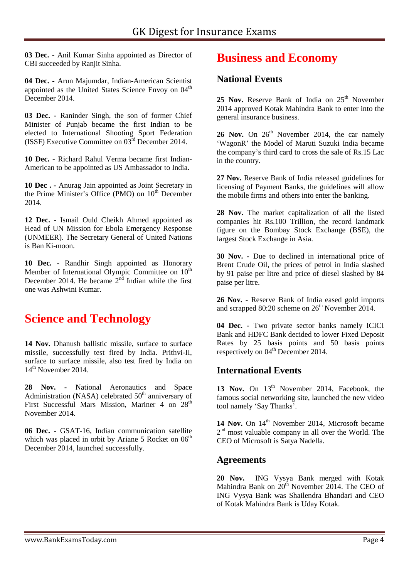**03 Dec. -** Anil Kumar Sinha appointed as Director of CBI succeeded by Ranjit Sinha.

**04 Dec. -** Arun Majumdar, Indian-American Scientist appointed as the United States Science Envoy on 04<sup>th</sup> December 2014.

**03 Dec. -** Raninder Singh, the son of former Chief Minister of Punjab became the first Indian to be elected to International Shooting Sport Federation (ISSF) Executive Committee on 03rd December 2014.

**10 Dec. -** Richard Rahul Verma became first Indian- American to be appointed as US Ambassador to India.

**10 Dec . -** Anurag Jain appointed as Joint Secretary in the Prime Minister's Office (PMO) on 10<sup>th</sup> December 2014.

**12 Dec. -** Ismail Ould Cheikh Ahmed appointed as Head of UN Mission for Ebola Emergency Response (UNMEER). The Secretary General of United Nations is Ban Ki-moon.

**10 Dec. -** Randhir Singh appointed as Honorary Member of International Olympic Committee on  $10<sup>th</sup>$ December 2014. He became  $2<sup>nd</sup>$  Indian while the first one was Ashwini Kumar.

## **Science and Technology**

14 Nov. Dhanush ballistic missile, surface to surface missile, successfully test fired by India. Prithvi-II, surface to surface missile, also test fired by India on 14<sup>th</sup> November 2014.

**28 Nov. -** National Aeronautics and Space Administration (NASA) celebrated  $50<sup>th</sup>$  anniversary of First Successful Mars Mission, Mariner 4 on 28<sup>th</sup> November 2014.

**06 Dec. -** GSAT-16, Indian communication satellite which was placed in orbit by Ariane 5 Rocket on  $06<sup>th</sup>$ December 2014, launched successfully.

## **Business and Economy**

#### **National Events**

25 Nov. Reserve Bank of India on 25<sup>th</sup> November 2014 approved Kotak Mahindra Bank to enter into the general insurance business.

**26 Nov.** On  $26<sup>th</sup>$  November 2014, the car namely 'WagonR' the Model of Maruti Suzuki India became the company's third card to cross the sale of Rs.15 Lac in the country.

**27 Nov.** Reserve Bank of India released guidelines for licensing of Payment Banks, the guidelines will allow the mobile firms and others into enter the banking.

**28 Nov.** The market capitalization of all the listed companies hit Rs.100 Trillion, the record landmark figure on the Bombay Stock Exchange (BSE), the largest Stock Exchange in Asia.

**30 Nov. -** Due to declined in international price of Brent Crude Oil, the prices of petrol in India slashed by 91 paise per litre and price of diesel slashed by 84 paise per litre.

**26 Nov. -** Reserve Bank of India eased gold imports and scrapped  $80:20$  scheme on  $26<sup>th</sup>$  November 2014.

**04 Dec. -** Two private sector banks namely ICICI Bank and HDFC Bank decided to lower Fixed Deposit Rates by 25 basis points and 50 basis points respectively on 04<sup>th</sup> December 2014.

#### **International Events**

13 Nov. On 13<sup>th</sup> November 2014, Facebook, the famous social networking site, launched the new video tool namely 'Say Thanks'.

14 Nov. On 14<sup>th</sup> November 2014, Microsoft became 2<sup>nd</sup> most valuable company in all over the World. The CEO of Microsoft is Satya Nadella.

#### **Agreements**

**20 Nov.** ING Vysya Bank merged with Kotak Mahindra Bank on  $20<sup>th</sup>$  November 2014. The CEO of ING Vysya Bank was Shailendra Bhandari and CEO of Kotak Mahindra Bank is Uday Kotak.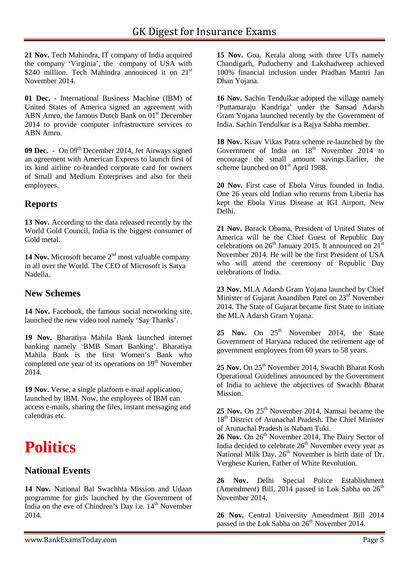**21 Nov.** Tech Mahindra, IT company of India acquired the company 'Virginia', the company of USA with \$240 million. Tech Mahindra announced it on  $21<sup>st</sup>$ November 2014.

**01 Dec. -** International Business Machine (IBM) of United States of America signed an agreement with ABN Amro, the famous Dutch Bank on 01<sup>st</sup> December 2014 to provide computer infrastructure services to ABN Amro.

**09 Dec.** • On 09<sup>th</sup> December 2014, Jet Airways signed C an agreement with American Express to launch first of its kind airline co-branded corporate card for owners of Small and Medium Enterprises and also for their employees.

#### **Reports**

**13 Nov.** According to the data released recently by the World Gold Council, India is the biggest consumer of Gold metal.

14 Nov. Microsoft became 2<sup>nd</sup> most valuable company in all over the World. The CEO of Microsoft is Satya Nadella.

#### **New Schemes**

**14 Nov.** Facebook, the famous social networking site, launched the new video tool namely 'Say Thanks'.

**19 Nov.** Bharatiya Mahila Bank launched internet banking namely 'BMB Smart Banking'. Bharatiya Mahila Bank is the first Women's Bank who completed one year of its operations on  $19<sup>th</sup>$  November 2014.

**19 Nov.** Verse, a single platform e-mail application, launched by IBM. Now, the employees of IBM can access e-mails, sharing the files, instant messaging and calendras etc.

# **Politics**

#### **National Events**

**14 Nov.** National Bal Swachhta Mission and Udaan programme for girls launched by the Government of India on the eve of Chindren's Day i.e. 14<sup>th</sup> November 2014.

**15 Nov.** Goa, Kerala along with three UTs namely Chandigarh, Puducherry and Lakshadweep achieved 100% financial inclusion under Pradhan Mantri Jan Dhan Yojana.

**16 Nov.** Sachin Tendulkar adopted the village namely 'Puttamaraju Kandriga' under the Sansad Adarsh Gram Yojana launched recently by the Government of India. Sachin Tendulkar is a Rajya Sabha member.

**18 Nov.** Kisav Vikas Patra scheme re-launched by the Government of India on  $18<sup>th</sup>$  November 2014 to encourage the small amount savings.Earlier, the scheme launched on  $01<sup>st</sup>$  April 1988.

**20 Nov.** First case of Ebola Virus founded in India. One 26 years old Indian who returns from Liberia has kept the Ebola Virus Disease at IGI Airport, New Delhi.

**21 Nov.** Barack Obama, President of United States of America will be the Chief Guest of Republic Day celebrations on  $26<sup>th</sup>$  January 2015. It announced on  $21<sup>st</sup>$ November 2014. He will be the first President of USA who will attend the ceremony of Republic Day celebrations of India.

**23 Nov.** MLA Adarsh Gram Yojana launched by Chief Minister of Gujarat Anandiben Patel on 23<sup>rd</sup> November 2014. The State of Gujarat became first State to initiate the MLA Adarsh Gram Yojana.

25 Nov. On 25<sup>th</sup> November 2014, the State Government of Haryana reduced the retirement age of government employees from 60 years to 58 years.

25 Nov. On 25<sup>th</sup> November 2014, Swachh Bharat Kosh Operational Guidelines announced by the Government of India to achieve the objectives of Swachh Bharat Mission.

25 Nov. On 25<sup>th</sup> November 2014, Namsai became the 18<sup>th</sup> District of Arunachal Pradesh. The Chief Minister of Arunachal Pradesh is Nabam Tuki.

26 Nov. On 26<sup>th</sup> November 2014, The Dairy Sector of India decided to celebrate  $26<sup>th</sup>$  November every year as National Milk Day. 26<sup>th</sup> November is birth date of Dr. Verghese Kurien, Father of White Revolution.

**26 Nov.** Delhi Special Police Establishment (Amendment) Bill, 2014 passed in Lok Sabha on  $26<sup>th</sup>$ November 2014.

**26 Nov.** Central University Amendment Bill 2014 passed in the Lok Sabha on  $26<sup>th</sup>$  November 2014.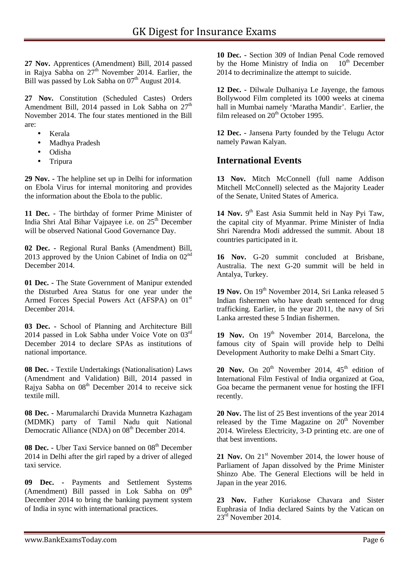**27 Nov.** Apprentices (Amendment) Bill, 2014 passed in Rajya Sabha on  $27<sup>th</sup>$  November 2014. Earlier, the Bill was passed by Lok Sabha on  $07<sup>th</sup>$  August 2014.

**27 Nov.** Constitution (Scheduled Castes) Orders Amendment Bill, 2014 passed in Lok Sabha on  $27<sup>th</sup>$ November 2014. The four states mentioned in the Bill are:

- Kerala
- Madhya Pradesh
- Odisha
- Tripura

**29 Nov. -** The helpline set up in Delhi for information on Ebola Virus for internal monitoring and provides the information about the Ebola to the public.

**11 Dec. -** The birthday of former Prime Minister of India Shri Atal Bihar Vajpayee i.e. on  $25<sup>th</sup>$  December will be observed National Good Governance Day.

**02 Dec. -** Regional Rural Banks (Amendment) Bill, 2013 approved by the Union Cabinet of India on  $02<sup>nd</sup>$ December 2014.

**01 Dec. -** The State Government of Manipur extended the Disturbed Area Status for one year under the Armed Forces Special Powers Act (AFSPA) on 01<sup>st</sup> December 2014.

**03 Dec. -** School of Planning and Architecture Bill 2014 passed in Lok Sabha under Voice Vote on 03rd December 2014 to declare SPAs as institutions of national importance.

**08 Dec. -** Textile Undertakings (Nationalisation) Laws (Amendment and Validation) Bill, 2014 passed in Rajya Sabha on  $08<sup>th</sup>$  December 2014 to receive sick textile mill.

**08 Dec. -** Marumalarchi Dravida Munnetra Kazhagam (MDMK) party of Tamil Nadu quit National Democratic Alliance (NDA) on 08<sup>th</sup> December 2014.

**08 Dec. -** Uber Taxi Service banned on 08<sup>th</sup> December 2014 in Delhi after the girl raped by a driver of alleged taxi service.

**09 Dec. -** Payments and Settlement Systems (Amendment) Bill passed in Lok Sabha on  $09<sup>th</sup>$ December 2014 to bring the banking payment system of India in sync with international practices.

**10 Dec. -** Section 309 of Indian Penal Code removed by the Home Ministry of India on  $10<sup>th</sup>$  December 2014 to decriminalize the attempt to suicide.

**12 Dec. -** Dilwale Dulhaniya Le Jayenge, the famous Bollywood Film completed its 1000 weeks at cinema hall in Mumbai namely 'Maratha Mandir'. Earlier, the film released on  $20<sup>th</sup>$  October 1995.

**12 Dec. -** Jansena Party founded by the Telugu Actor namely Pawan Kalyan.

#### **International Events**

**13 Nov.** Mitch McConnell (full name Addison Mitchell McConnell) selected as the Majority Leader of the Senate, United States of America.

14 Nov. 9<sup>th</sup> East Asia Summit held in Nay Pyi Taw, the capital city of Myanmar. Prime Minister of India Shri Narendra Modi addressed the summit. About 18 countries participated in it.

**16 Nov.** G-20 summit concluded at Brisbane, Australia. The next G-20 summit will be held in Antalya, Turkey.

19 Nov. On 19<sup>th</sup> November 2014, Sri Lanka released 5 Indian fishermen who have death sentenced for drug trafficking. Earlier, in the year 2011, the navy of Sri Lanka arrested these 5 Indian fishermen.

19 Nov. On 19<sup>th</sup> November 2014, Barcelona, the famous city of Spain will provide help to Delhi Development Authority to make Delhi a Smart City.

**20 Nov.** On  $20<sup>th</sup>$  November 2014, 45<sup>th</sup> edition of International Film Festival of India organized at Goa, Goa became the permanent venue for hosting the IFFI recently.

**20 Nov.** The list of 25 Best inventions of the year 2014 released by the Time Magazine on  $20<sup>th</sup>$  November 2014. Wireless Electricity, 3-D printing etc. are one of that best inventions.

21 Nov. On 21<sup>st</sup> November 2014, the lower house of Parliament of Japan dissolved by the Prime Minister Shinzo Abe. The General Elections will be held in Japan in the year 2016.

**23 Nov.** Father Kuriakose Chavara and Sister Euphrasia of India declared Saints by the Vatican on  $23^{\text{rd}}$  November 2014.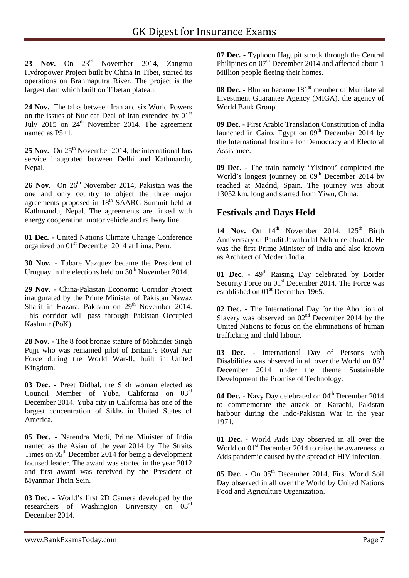23 Nov. On  $23<sup>rd</sup>$  November 2014, Zangmu Hydropower Project built by China in Tibet, started its operations on Brahmaputra River. The project is the largest dam which built on Tibetan plateau.

**24 Nov.** The talks between Iran and six World Powers on the issues of Nuclear Deal of Iran extended by  $01<sup>st</sup>$ July 2015 on  $24<sup>th</sup>$  November 2014. The agreement named as  $P5+1$ .

25 Nov. On 25<sup>th</sup> November 2014, the international bus service inaugrated between Delhi and Kathmandu, Nepal.

26 Nov. On 26<sup>th</sup> November 2014, Pakistan was the one and only country to object the three major agreements proposed in 18<sup>th</sup> SAARC Summit held at Kathmandu, Nepal. The agreements are linked with energy cooperation, motor vehicle and railway line.

**01 Dec. -** United Nations Climate Change Conference organized on 01<sup>st</sup> December 2014 at Lima, Peru.

**30 Nov. -** Tabare Vazquez became the President of Uruguay in the elections held on  $30<sup>th</sup>$  November 2014.

**29 Nov. -** China-Pakistan Economic Corridor Project inaugurated by the Prime Minister of Pakistan Nawaz Sharif in Hazara, Pakistan on  $29<sup>th</sup>$  November 2014. This corridor will pass through Pakistan Occupied Kashmir (PoK).

**28 Nov. -** The 8 foot bronze stature of Mohinder Singh Pujji who was remained pilot of Britain's Royal Air Force during the World War-II, built in United Kingdom.

**03 Dec. -** Preet Didbal, the Sikh woman elected as Council Member of Yuba, California on 03rd December 2014. Yuba city in California has one of the largest concentration of Sikhs in United States of America.

**05 Dec. -** Narendra Modi, Prime Minister of India named as the Asian of the year 2014 by The Straits Times on  $05<sup>th</sup>$  December 2014 for being a development focused leader. The award was started in the year 2012 and first award was received by the President of Myanmar Thein Sein.

**03 Dec. -** World's first 2D Camera developed by the researchers of Washington University on 03<sup>rd</sup> December 2014.

**07 Dec. -** Typhoon Hagupit struck through the Central Philipines on 07<sup>th</sup> December 2014 and affected about 1 Million people fleeing their homes.

**08 Dec. -** Bhutan became 181<sup>st</sup> member of Multilateral Investment Guarantee Agency (MIGA), the agency of World Bank Group.

**09 Dec. -** First Arabic Translation Constitution of India launched in Cairo, Egypt on  $09<sup>th</sup>$  December 2014 by the International Institute for Democracy and Electoral Assistance.

**09 Dec. -** The train namely 'Yixinou' completed the World's longest jountiney on  $09<sup>th</sup>$  December 2014 by reached at Madrid, Spain. The journey was about 13052 km. long and started from Yiwu, China.

#### **Festivals and Days Held**

14 Nov. On  $14<sup>th</sup>$  November 2014, 125<sup>th</sup> Birth Anniversary of Pandit Jawaharlal Nehru celebrated. He was the first Prime Minister of India and also known as Architect of Modern India.

**01 Dec. -** 49th Raising Day celebrated by Border Security Force on 01<sup>st</sup> December 2014. The Force was established on 01<sup>st</sup> December 1965.

**02 Dec. -** The International Day for the Abolition of Slavery was observed on  $02<sup>nd</sup>$  December 2014 by the United Nations to focus on the eliminations of human trafficking and child labour.

**03 Dec. -** International Day of Persons with Disabilities was observed in all over the World on 03rd December 2014 under the theme Sustainable Development the Promise of Technology.

04 Dec. **-** Navy Day celebrated on 04<sup>th</sup> December 2014 to commemorate the attack on Karachi, Pakistan harbour during the Indo-Pakistan War in the year 1971.

**01 Dec. -** World Aids Day observed in all over the World on  $01<sup>st</sup>$  December 2014 to raise the awareness to Aids pandemic caused by the spread of HIV infection.

05 Dec. - On 05<sup>th</sup> December 2014, First World Soil Day observed in all over the World by United Nations Food and Agriculture Organization.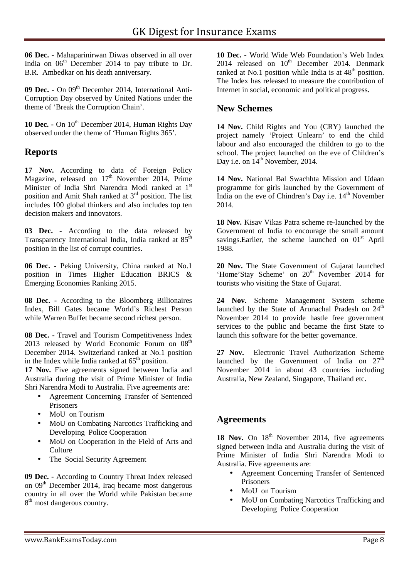**06 Dec. -** Mahaparinirwan Diwas observed in all over India on  $06<sup>th</sup>$  December 2014 to pay tribute to Dr. B.R. Ambedkar on his death anniversary.

**09 Dec. -** On 09<sup>th</sup> December 2014, International Anti-Corruption Day observed by United Nations under the theme of 'Break the Corruption Chain'.

10 Dec. - On 10<sup>th</sup> December 2014, Human Rights Day observed under the theme of 'Human Rights 365'.

#### **Reports**

**17 Nov.** According to data of Foreign Policy Magazine, released on  $17<sup>th</sup>$  November 2014, Prime Minister of India Shri Narendra Modi ranked at 1st position and Amit Shah ranked at 3rd position. The list includes 100 global thinkers and also includes top ten decision makers and innovators.

**03 Dec. -** According to the data released by Transparency International India, India ranked at  $85<sup>th</sup>$ position in the list of corrupt countries.

**06 Dec. -** Peking University, China ranked at No.1 position in Times Higher Education BRICS & Emerging Economies Ranking 2015.

**08 Dec. -** According to the Bloomberg Billionaires Index, Bill Gates became World's Richest Person while Warren Buffet became second richest person.

**08 Dec. -** Travel and Tourism Competitiveness Index 2013 released by World Economic Forum on  $08<sup>th</sup>$ December 2014. Switzerland ranked at No.1 position in the Index while India ranked at  $65<sup>th</sup>$  position.

**17 Nov.** Five agreements signed between India and Australia during the visit of Prime Minister of India Shri Narendra Modi to Australia. Five agreements are:

- Agreement Concerning Transfer of Sentenced Prisoners
- MoU on Tourism
- MoU on Combating Narcotics Trafficking and Developing Police Cooperation
- MoU on Cooperation in the Field of Arts and **Culture**
- The Social Security Agreement

**09 Dec. -** According to Country Threat Index released on  $09<sup>th</sup>$  December 2014, Iraq became most dangerous country in all over the World while Pakistan became 8<sup>th</sup> most dangerous country.

**10 Dec. -** World Wide Web Foundation's Web Index 2014 released on  $10^{th}$  December 2014. Denmark ranked at No.1 position while India is at  $48<sup>th</sup>$  position. The Index has released to measure the contribution of Internet in social, economic and political progress.

#### **New Schemes**

**14 Nov.** Child Rights and You (CRY) launched the project namely 'Project Unlearn' to end the child labour and also encouraged the children to go to the school. The project launched on the eve of Children's Day i.e. on  $14^{th}$  November, 2014.

**14 Nov.** National Bal Swachhta Mission and Udaan programme for girls launched by the Government of India on the eve of Chindren's Day i.e.  $14<sup>th</sup>$  November 2014.

**18 Nov.** Kisav Vikas Patra scheme re-launched by the Government of India to encourage the small amount savings. Earlier, the scheme launched on  $01<sup>st</sup>$  April 1988.

**20 Nov.** The State Government of Gujarat launched 'Home'Stay Scheme' on 20<sup>th</sup> November 2014 for tourists who visiting the State of Gujarat.

**24 Nov.** Scheme Management System scheme launched by the State of Arunachal Pradesh on  $24<sup>th</sup>$ November 2014 to provide hastle free government services to the public and became the first State to launch this software for the better governance.

**27 Nov.** Electronic Travel Authorization Scheme launched by the Government of India on  $27<sup>th</sup>$ November 2014 in about 43 countries including Australia, New Zealand, Singapore, Thailand etc.

#### **Agreements**

18 Nov. On 18<sup>th</sup> November 2014, five agreements signed between India and Australia during the visit of Prime Minister of India Shri Narendra Modi to Australia. Five agreements are:

- Agreement Concerning Transfer of Sentenced Prisoners
- MoU on Tourism
- MoU on Combating Narcotics Trafficking and Developing Police Cooperation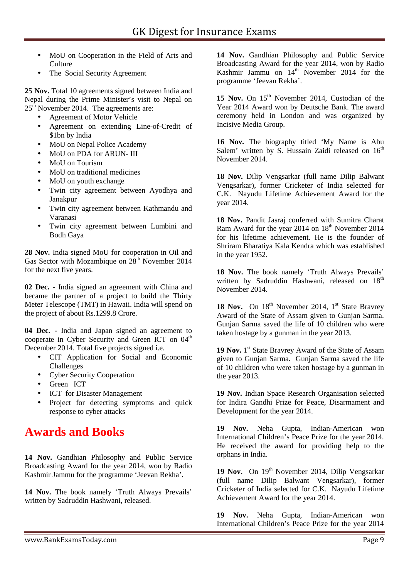- MoU on Cooperation in the Field of Arts and Culture
- The Social Security Agreement

**25 Nov.** Total 10 agreements signed between India and Nepal during the Prime Minister's visit to Nepal on 25<sup>th</sup> November 2014. The agreements are:

- Agreement of Motor Vehicle
- Agreement on extending Line-of-Credit of \$1bn by India
- MoU on Nepal Police Academy
- MoU on PDA for ARUN- III
- MoU on Tourism
- MoU on traditional medicines
- MoU on youth exchange
- Twin city agreement between Ayodhya and Janakpur
- Twin city agreement between Kathmandu and Varanasi
- Twin city agreement between Lumbini and Bodh Gaya

**28 Nov.** India signed MoU for cooperation in Oil and Gas Sector with Mozambique on  $28<sup>th</sup>$  November 2014 for the next five years.

**02 Dec. -** India signed an agreement with China and became the partner of a project to build the Thirty Meter Telescope (TMT) in Hawaii. India will spend on the project of about Rs.1299.8 Crore.

**04 Dec. -** India and Japan signed an agreement to cooperate in Cyber Security and Green ICT on  $04<sup>th</sup>$ December 2014. Total five projects signed i.e.

- CIT Application for Social and Economic Challenges
- Cyber Security Cooperation
- Green ICT
- ICT for Disaster Management
- Project for detecting symptoms and quick response to cyber attacks

## **Awards and Books**

**14 Nov.** Gandhian Philosophy and Public Service Broadcasting Award for the year 2014, won by Radio Kashmir Jammu for the programme 'Jeevan Rekha'.

**14 Nov.** The book namely 'Truth Always Prevails' written by Sadruddin Hashwani, released.

**14 Nov.** Gandhian Philosophy and Public Service Broadcasting Award for the year 2014, won by Radio Kashmir Jammu on  $14<sup>th</sup>$  November 2014 for the programme 'Jeevan Rekha'.

15 Nov. On 15<sup>th</sup> November 2014, Custodian of the Year 2014 Award won by Deutsche Bank. The award ceremony held in London and was organized by Incisive Media Group.

**16 Nov.** The biography titled 'My Name is Abu Salem' written by S. Hussain Zaidi released on  $16<sup>th</sup>$ November 2014.

**18 Nov.** Dilip Vengsarkar (full name Dilip Balwant Vengsarkar), former Cricketer of India selected for C.K. Nayudu Lifetime Achievement Award for the year 2014.

**18 Nov.** Pandit Jasraj conferred with Sumitra Charat Ram Award for the year 2014 on 18<sup>th</sup> November 2014 for his lifetime achievement. He is the founder of Shriram Bharatiya Kala Kendra which was established in the year 1952.

**18 Nov.** The book namely 'Truth Always Prevails' written by Sadruddin Hashwani, released on 18<sup>th</sup> November 2014.

18 Nov. On 18<sup>th</sup> November 2014, 1<sup>st</sup> State Bravrey Award of the State of Assam given to Gunjan Sarma. Gunjan Sarma saved the life of 10 children who were taken hostage by a gunman in the year 2013.

19 Nov. 1<sup>st</sup> State Bravrey Award of the State of Assam given to Gunjan Sarma. Gunjan Sarma saved the life of 10 children who were taken hostage by a gunman in the year 2013.

**19 Nov.** Indian Space Research Organisation selected for Indira Gandhi Prize for Peace, Disarmament and Development for the year 2014.

**19 Nov.** Neha Gupta, Indian-American won International Children's Peace Prize for the year 2014. He received the award for providing help to the orphans in India.

19 Nov. On 19<sup>th</sup> November 2014, Dilip Vengsarkar (full name Dilip Balwant Vengsarkar), former Cricketer of India selected for C.K. Nayudu Lifetime Achievement Award for the year 2014.

**19 Nov.** Neha Gupta, Indian-American won International Children's Peace Prize for the year 2014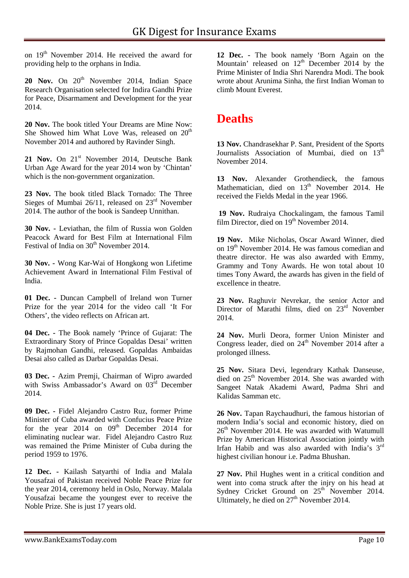on 19<sup>th</sup> November 2014. He received the award for providing help to the orphans in India.

20 Nov. On 20<sup>th</sup> November 2014, Indian Space Research Organisation selected for Indira Gandhi Prize for Peace, Disarmament and Development for the year 2014.

**20 Nov.** The book titled Your Dreams are Mine Now: She Showed him What Love Was, released on  $20<sup>th</sup>$ November 2014 and authored by Ravinder Singh.

21 Nov. On 21<sup>st</sup> November 2014, Deutsche Bank Urban Age Award for the year 2014 won by 'Chintan' which is the non-government organization.

**23 Nov.** The book titled Black Tornado: The Three Sieges of Mumbai  $26/11$ , released on  $23<sup>rd</sup>$  November 2014. The author of the book is Sandeep Unnithan.

**30 Nov. -** Leviathan, the film of Russia won Golden Peacock Award for Best Film at International Film Festival of India on  $30<sup>th</sup>$  November 2014.

**30 Nov. -** Wong Kar-Wai of Hongkong won Lifetime Achievement Award in International Film Festival of India.

**01 Dec. -** Duncan Campbell of Ireland won Turner Prize for the year 2014 for the video call 'It For Others', the video reflects on African art.

**04 Dec. -** The Book namely 'Prince of Gujarat: The Extraordinary Story of Prince Gopaldas Desai' written by Rajmohan Gandhi, released. Gopaldas Ambaidas Desai also called as Darbar Gopaldas Desai.

**03 Dec. -** Azim Premji, Chairman of Wipro awarded with Swiss Ambassador's Award on 03<sup>rd</sup> December 2014.

**09 Dec. -** Fidel Alejandro Castro Ruz, former Prime Minister of Cuba awarded with Confucius Peace Prize for the year  $2014$  on  $09<sup>th</sup>$  December 2014 for eliminating nuclear war. Fidel Alejandro Castro Ruz was remained the Prime Minister of Cuba during the period 1959 to 1976.

**12 Dec. -** Kailash Satyarthi of India and Malala Yousafzai of Pakistan received Noble Peace Prize for the year 2014, ceremony held in Oslo, Norway. Malala Yousafzai became the youngest ever to receive the Noble Prize. She is just 17 years old.

**12 Dec. -** The book namely 'Born Again on the Mountain' released on  $12<sup>th</sup>$  December 2014 by the Prime Minister of India Shri Narendra Modi. The book wrote about Arunima Sinha, the first Indian Woman to climb Mount Everest.

## **Deaths**

**13 Nov.** Chandrasekhar P. Sant, President of the Sports Journalists Association of Mumbai, died on 13<sup>th</sup> November 2014.

**13 Nov.** Alexander Grothendieck, the famous Mathematician, died on  $13<sup>th</sup>$  November 2014. He received the Fields Medal in the year 1966.

**19 Nov.** Rudraiya Chockalingam, the famous Tamil film Director, died on  $19<sup>th</sup>$  November 2014.

**19 Nov.** Mike Nicholas, Oscar Award Winner, died on 19<sup>th</sup> November 2014. He was famous comedian and theatre director. He was also awarded with Emmy, Grammy and Tony Awards. He won total about 10 times Tony Award, the awards has given in the field of excellence in theatre.

**23 Nov.** Raghuvir Nevrekar, the senior Actor and Director of Marathi films, died on 23<sup>rd</sup> November 2014.

**24 Nov.** Murli Deora, former Union Minister and Congress leader, died on  $24<sup>th</sup>$  November 2014 after a prolonged illness.

**25 Nov.** Sitara Devi, legendrary Kathak Danseuse, died on 25<sup>th</sup> November 2014. She was awarded with Sangeet Natak Akademi Award, Padma Shri and Kalidas Samman etc.

**26 Nov.** Tapan Raychaudhuri, the famous historian of modern India's social and economic history, died on 26th November 2014. He was awarded with Watumull Prize by American Historical Association jointly with Irfan Habib and was also awarded with India's 3<sup>rd</sup> highest civilian honour i.e. Padma Bhushan.

**27 Nov.** Phil Hughes went in a critical condition and went into coma struck after the injry on his head at Sydney Cricket Ground on  $25<sup>th</sup>$  November 2014. Ultimately, he died on  $27<sup>th</sup>$  November 2014.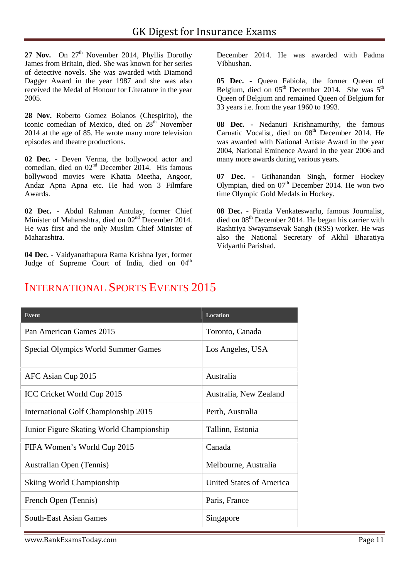27 Nov. On 27<sup>th</sup> November 2014, Phyllis Dorothy James from Britain, died. She was known for her series of detective novels. She was awarded with Diamond Dagger Award in the year 1987 and she was also received the Medal of Honour for Literature in the year 2005.

**28 Nov.** Roberto Gomez Bolanos (Chespirito), the iconic comedian of Mexico, died on  $28<sup>th</sup>$  November 2014 at the age of 85. He wrote many more television episodes and theatre productions.

**02 Dec. -** Deven Verma, the bollywood actor and comedian, died on  $02<sup>nd</sup>$  December 2014. His famous bollywood movies were Khatta Meetha, Angoor, Andaz Apna Apna etc. He had won 3 Filmfare Awards.

**02 Dec. -** Abdul Rahman Antulay, former Chief Minister of Maharashtra, died on 02<sup>nd</sup> December 2014. He was first and the only Muslim Chief Minister of Maharashtra.

**04 Dec. -** Vaidyanathapura Rama Krishna Iyer, former Judge of Supreme Court of India, died on  $04<sup>th</sup>$  December 2014. He was awarded with Padma Vibhushan.

**05 Dec. -** Queen Fabiola, the former Queen of Belgium, died on  $05<sup>th</sup>$  December 2014. She was  $5<sup>th</sup>$ Queen of Belgium and remained Queen of Belgium for 33 years i.e. from the year 1960 to 1993.

**08 Dec. -** Nedanuri Krishnamurthy, the famous Carnatic Vocalist, died on  $08<sup>th</sup>$  December 2014. He was awarded with National Artiste Award in the year 2004, National Eminence Award in the year 2006 and many more awards during various years.

**07 Dec. -** Grihanandan Singh, former Hockey Olympian, died on  $07<sup>th</sup>$  December 2014. He won two time Olympic Gold Medals in Hockey.

**08 Dec. -** Piratla Venkateswarlu, famous Journalist, died on 08<sup>th</sup> December 2014. He began his carrier with Rashtriya Swayamsevak Sangh (RSS) worker. He was also the National Secretary of Akhil Bharatiya Vidyarthi Parishad.

# **Event Location** Pan American Games 2015 Toronto, Canada Special Olympics World Summer Games Los Angeles, USA AFC Asian Cup 2015 Australia ICC Cricket World Cup 2015 Australia, New Zealand International Golf Championship 2015 Perth, Australia Junior Figure Skating World Championship Tallinn, Estonia FIFA Women's World Cup 2015 Canada Australian Open (Tennis) Melbourne, Australia Skiing World Championship United States of America French Open (Tennis) Paris, France South-East Asian Games Singapore

## INTERNATIONAL SPORTS EVENTS 2015

www.BankExamsToday.com **Page 11**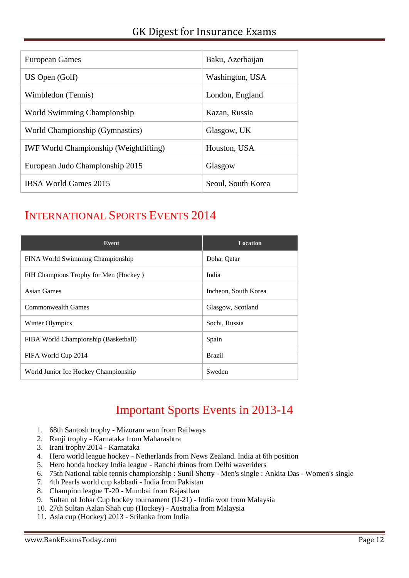| European Games                                | Baku, Azerbaijan   |
|-----------------------------------------------|--------------------|
| US Open (Golf)                                | Washington, USA    |
| Wimbledon (Tennis)                            | London, England    |
| World Swimming Championship                   | Kazan, Russia      |
| World Championship (Gymnastics)               | Glasgow, UK        |
| <b>IWF World Championship (Weightlifting)</b> | Houston, USA       |
| European Judo Championship 2015               | Glasgow            |
| IBSA World Games 2015                         | Seoul, South Korea |

## INTERNATIONAL SPORTS EVENTS 2014

| Event                                 | <b>Location</b>      |
|---------------------------------------|----------------------|
| FINA World Swimming Championship      | Doha, Qatar          |
| FIH Champions Trophy for Men (Hockey) | India                |
| Asian Games                           | Incheon, South Korea |
| Commonwealth Games                    | Glasgow, Scotland    |
| Winter Olympics                       | Sochi, Russia        |
| FIBA World Championship (Basketball)  | Spain                |
| FIFA World Cup 2014                   | <b>Brazil</b>        |
| World Junior Ice Hockey Championship  | Sweden               |

## Important Sports Events in 2013-14

- 1. 68th Santosh trophy Mizoram won from Railways
- 2. Ranji trophy Karnataka from Maharashtra
- 3. Irani trophy 2014 Karnataka
- 4. Hero world league hockey Netherlands from News Zealand. India at 6th position
- 5. Hero honda hockey India league Ranchi rhinos from Delhi waveriders
- 6. 75th National table tennis championship : Sunil Shetty Men's single : Ankita Das Women's single
- 7. 4th Pearls world cup kabbadi India from Pakistan
- 8. Champion league T-20 Mumbai from Rajasthan
- 9. Sultan of Johar Cup hockey tournament (U-21) India won from Malaysia
- 10. 27th Sultan Azlan Shah cup (Hockey) Australia from Malaysia
- 11. Asia cup (Hockey) 2013 Srilanka from India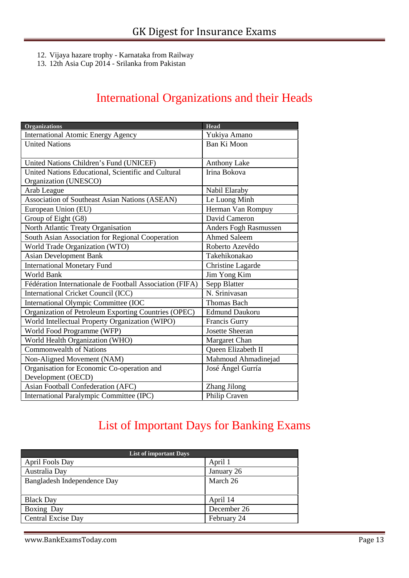- 12. Vijaya hazare trophy Karnataka from Railway
- 13. 12th Asia Cup 2014 Srilanka from Pakistan

## International Organizations and their Heads

| <b>Organizations</b>                                     | Head                      |
|----------------------------------------------------------|---------------------------|
| <b>International Atomic Energy Agency</b>                | Yukiya Amano              |
| <b>United Nations</b>                                    | Ban Ki Moon               |
|                                                          |                           |
| United Nations Children's Fund (UNICEF)                  | <b>Anthony Lake</b>       |
| United Nations Educational, Scientific and Cultural      | Irina Bokova              |
| Organization (UNESCO)                                    |                           |
| Arab League                                              | Nabil Elaraby             |
| Association of Southeast Asian Nations (ASEAN)           | Le Luong Minh             |
| European Union (EU)                                      | Herman Van Rompuy         |
| Group of Eight (G8)                                      | David Cameron             |
| North Atlantic Treaty Organisation                       | Anders Fogh Rasmussen     |
| South Asian Association for Regional Cooperation         | <b>Ahmed Saleem</b>       |
| World Trade Organization (WTO)                           | Roberto Azevêdo           |
| <b>Asian Development Bank</b>                            | Takehikonakao             |
| <b>International Monetary Fund</b>                       | Christine Lagarde         |
| <b>World Bank</b>                                        | Jim Yong Kim              |
| Fédération Internationale de Football Association (FIFA) | Sepp Blatter              |
| International Cricket Council (ICC)                      | N. Srinivasan             |
| International Olympic Committee (IOC                     | <b>Thomas Bach</b>        |
| Organization of Petroleum Exporting Countries (OPEC)     | <b>Edmund Daukoru</b>     |
| World Intellectual Property Organization (WIPO)          | Francis Gurry             |
| World Food Programme (WFP)                               | <b>Josette Sheeran</b>    |
| World Health Organization (WHO)                          | Margaret Chan             |
| <b>Commonwealth of Nations</b>                           | <b>Oueen Elizabeth II</b> |
| Non-Aligned Movement (NAM)                               | Mahmoud Ahmadinejad       |
| Organisation for Economic Co-operation and               | José Ángel Gurría         |
| Development (OECD)                                       |                           |
| Asian Football Confederation (AFC)                       | Zhang Jilong              |
| International Paralympic Committee (IPC)                 | Philip Craven             |

## List of Important Days for Banking Exams

| <b>List of important Days</b> |             |
|-------------------------------|-------------|
| April Fools Day               | April 1     |
| Australia Day                 | January 26  |
| Bangladesh Independence Day   | March 26    |
|                               |             |
| <b>Black Day</b>              | April 14    |
| Boxing Day                    | December 26 |
| Central Excise Day            | February 24 |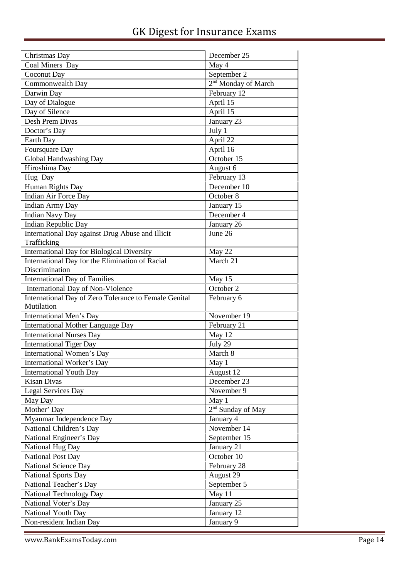| Christmas Day                                         | December 25                     |
|-------------------------------------------------------|---------------------------------|
| Coal Miners Day                                       | May 4                           |
| Coconut Day                                           | September 2                     |
| Commonwealth Day                                      | 2 <sup>nd</sup> Monday of March |
| Darwin Day                                            | February 12                     |
| Day of Dialogue                                       | April 15                        |
| Day of Silence                                        | April 15                        |
| Desh Prem Divas                                       | January 23                      |
| Doctor's Day                                          | July 1                          |
| Earth Day                                             | April 22                        |
| Foursquare Day                                        | April 16                        |
| Global Handwashing Day                                | October 15                      |
| Hiroshima Day                                         | August 6                        |
| Hug Day                                               | February 13                     |
| Human Rights Day                                      | December 10                     |
| Indian Air Force Day                                  | October 8                       |
| <b>Indian Army Day</b>                                | January 15                      |
| <b>Indian Navy Day</b>                                | December 4                      |
| Indian Republic Day                                   | January 26                      |
| International Day against Drug Abuse and Illicit      | June 26                         |
| Trafficking                                           |                                 |
| <b>International Day for Biological Diversity</b>     | May 22                          |
| International Day for the Elimination of Racial       | March 21                        |
| Discrimination                                        |                                 |
| International Day of Families                         | May 15                          |
| International Day of Non-Violence                     | October 2                       |
| International Day of Zero Tolerance to Female Genital | February 6                      |
| Mutilation                                            |                                 |
| International Men's Day                               | November 19                     |
| <b>International Mother Language Day</b>              | February 21                     |
| <b>International Nurses Day</b>                       | May 12                          |
| <b>International Tiger Day</b>                        | July 29                         |
| International Women's Day                             | March 8                         |
| International Worker's Day                            | May 1                           |
| <b>International Youth Day</b>                        | August 12                       |
| Kisan Divas                                           | December 23                     |
| Legal Services Day                                    | November 9                      |
| May Day                                               | May 1                           |
| Mother' Day                                           | $2nd$ Sunday of May             |
| Myanmar Independence Day                              | January 4                       |
| National Children's Day                               | November 14                     |
| National Engineer's Day                               | September 15                    |
|                                                       |                                 |
| National Hug Day                                      | January 21<br>October 10        |
| <b>National Post Day</b>                              |                                 |
| <b>National Science Day</b>                           | February 28                     |
| National Sports Day                                   | August 29                       |
| National Teacher's Day                                | September 5                     |
| National Technology Day                               | May 11                          |
| National Voter's Day                                  | January 25                      |
| National Youth Day                                    | January 12                      |
| Non-resident Indian Day                               | January 9                       |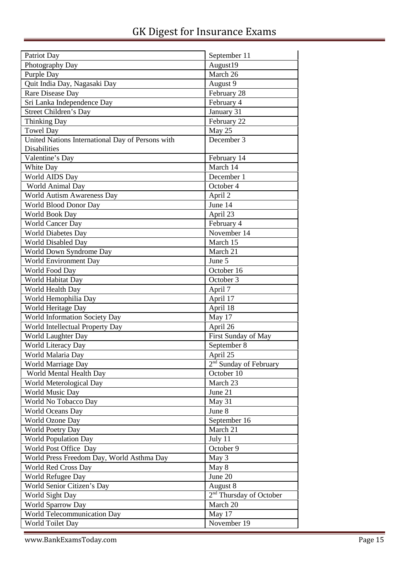| Patriot Day                                      | September 11                        |
|--------------------------------------------------|-------------------------------------|
| Photography Day                                  | August19                            |
| Purple Day                                       | March 26                            |
| Quit India Day, Nagasaki Day                     | August 9                            |
| Rare Disease Day                                 | February 28                         |
| Sri Lanka Independence Day                       | February 4                          |
| Street Children's Day                            | January 31                          |
| <b>Thinking Day</b>                              | February 22                         |
| <b>Towel Day</b>                                 | May 25                              |
| United Nations International Day of Persons with | December 3                          |
| Disabilities                                     |                                     |
| Valentine's Day                                  | February 14                         |
| White Day                                        | March 14                            |
| World AIDS Day                                   | December 1                          |
| World Animal Day                                 | October 4                           |
| World Autism Awareness Day                       | April 2                             |
| World Blood Donor Day                            | June 14                             |
| World Book Day                                   | April 23                            |
| <b>World Cancer Day</b>                          | February 4                          |
| <b>World Diabetes Day</b>                        | November 14                         |
| World Disabled Day                               | March 15                            |
| World Down Syndrome Day                          | March 21                            |
| World Environment Day                            | June 5                              |
| World Food Day                                   | October 16                          |
| World Habitat Day                                | October 3                           |
| World Health Day                                 | April 7                             |
| World Hemophilia Day                             | April 17                            |
| World Heritage Day                               | April 18                            |
| World Information Society Day                    | May 17                              |
| World Intellectual Property Day                  | April 26                            |
| World Laughter Day                               | First Sunday of May                 |
| World Literacy Day                               | September 8                         |
| World Malaria Day                                | April 25                            |
| World Marriage Day                               | 2 <sup>nd</sup> Sunday of February  |
| World Mental Health Day                          | October 10                          |
| World Meterological Day                          | March 23                            |
| World Music Day                                  | June 21                             |
| World No Tobacco Day                             | May 31                              |
| World Oceans Day                                 | June 8                              |
| World Ozone Day                                  | September 16                        |
| <b>World Poetry Day</b>                          | March 21                            |
| <b>World Population Day</b>                      | July 11                             |
| World Post Office Day                            | October 9                           |
| World Press Freedom Day, World Asthma Day        | May 3                               |
| World Red Cross Day                              | May 8                               |
| World Refugee Day                                | June 20                             |
| World Senior Citizen's Day                       | August 8                            |
| World Sight Day                                  | 2 <sup>nd</sup> Thursday of October |
| World Sparrow Day                                | March 20                            |
| World Telecommunication Day                      | May 17                              |
| World Toilet Day                                 | November 19                         |

www.BankExamsToday.com Page 15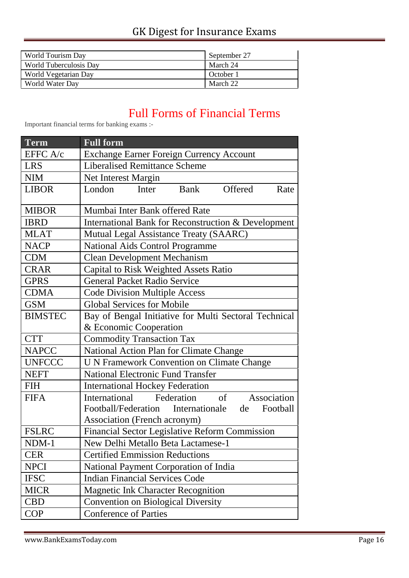| World Tourism Day      | September 27 |
|------------------------|--------------|
| World Tuberculosis Day | March 24     |
| World Vegetarian Day   | October 1    |
| World Water Day        | March 22     |

## Full Forms of Financial Terms

Important financial terms for banking exams :-

| <b>Term</b>    | <b>Full form</b>                                      |  |
|----------------|-------------------------------------------------------|--|
| EFFC A/c       | <b>Exchange Earner Foreign Currency Account</b>       |  |
| <b>LRS</b>     | <b>Liberalised Remittance Scheme</b>                  |  |
| <b>NIM</b>     | Net Interest Margin                                   |  |
| <b>LIBOR</b>   | Bank<br>Offered<br>London<br>Rate<br>Inter            |  |
|                |                                                       |  |
| <b>MIBOR</b>   | Mumbai Inter Bank offered Rate                        |  |
| <b>IBRD</b>    | International Bank for Reconstruction & Development   |  |
| <b>MLAT</b>    | Mutual Legal Assistance Treaty (SAARC)                |  |
| <b>NACP</b>    | <b>National Aids Control Programme</b>                |  |
| <b>CDM</b>     | <b>Clean Development Mechanism</b>                    |  |
| <b>CRAR</b>    | Capital to Risk Weighted Assets Ratio                 |  |
| <b>GPRS</b>    | <b>General Packet Radio Service</b>                   |  |
| <b>CDMA</b>    | <b>Code Division Multiple Access</b>                  |  |
| <b>GSM</b>     | <b>Global Services for Mobile</b>                     |  |
| <b>BIMSTEC</b> | Bay of Bengal Initiative for Multi Sectoral Technical |  |
|                | & Economic Cooperation                                |  |
| <b>CTT</b>     | <b>Commodity Transaction Tax</b>                      |  |
| <b>NAPCC</b>   | National Action Plan for Climate Change               |  |
| <b>UNFCCC</b>  | <b>U N Framework Convention on Climate Change</b>     |  |
| <b>NEFT</b>    | <b>National Electronic Fund Transfer</b>              |  |
| <b>FIH</b>     | <b>International Hockey Federation</b>                |  |
| <b>FIFA</b>    | Federation<br>Association<br>International<br>of      |  |
|                | Football/Federation Internationale<br>Football<br>de  |  |
|                | <b>Association (French acronym)</b>                   |  |
| <b>FSLRC</b>   | <b>Financial Sector Legislative Reform Commission</b> |  |
| NDM-1          | New Delhi Metallo Beta Lactamese-1                    |  |
| <b>CER</b>     | <b>Certified Emmission Reductions</b>                 |  |
| <b>NPCI</b>    | National Payment Corporation of India                 |  |
| <b>IFSC</b>    | <b>Indian Financial Services Code</b>                 |  |
| <b>MICR</b>    | <b>Magnetic Ink Character Recognition</b>             |  |
| <b>CBD</b>     | <b>Convention on Biological Diversity</b>             |  |
| <b>COP</b>     | <b>Conference of Parties</b>                          |  |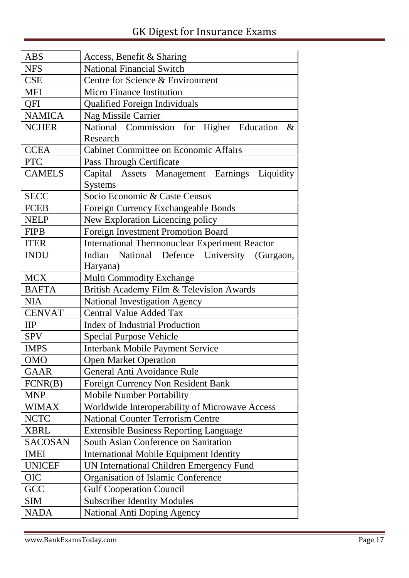| <b>ABS</b>     | Access, Benefit & Sharing                             |  |
|----------------|-------------------------------------------------------|--|
| <b>NFS</b>     | <b>National Financial Switch</b>                      |  |
| <b>CSE</b>     | Centre for Science & Environment                      |  |
| <b>MFI</b>     | <b>Micro Finance Institution</b>                      |  |
| QFI            | <b>Qualified Foreign Individuals</b>                  |  |
| <b>NAMICA</b>  | Nag Missile Carrier                                   |  |
| <b>NCHER</b>   | National Commission for Higher Education<br>$\&$      |  |
|                | Research                                              |  |
| <b>CCEA</b>    | <b>Cabinet Committee on Economic Affairs</b>          |  |
| <b>PTC</b>     | Pass Through Certificate                              |  |
| <b>CAMELS</b>  | Capital Assets Management Earnings Liquidity          |  |
|                | <b>Systems</b>                                        |  |
| <b>SECC</b>    | Socio Economic & Caste Census                         |  |
| <b>FCEB</b>    | Foreign Currency Exchangeable Bonds                   |  |
| <b>NELP</b>    | New Exploration Licencing policy                      |  |
| <b>FIPB</b>    | Foreign Investment Promotion Board                    |  |
| <b>ITER</b>    | <b>International Thermonuclear Experiment Reactor</b> |  |
| <b>INDU</b>    | Indian National Defence University (Gurgaon,          |  |
|                | Haryana)                                              |  |
| <b>MCX</b>     | <b>Multi Commodity Exchange</b>                       |  |
| <b>BAFTA</b>   | British Academy Film & Television Awards              |  |
| <b>NIA</b>     | <b>National Investigation Agency</b>                  |  |
| <b>CENVAT</b>  | <b>Central Value Added Tax</b>                        |  |
| $\mathbf{IIP}$ | <b>Index of Industrial Production</b>                 |  |
| <b>SPV</b>     | <b>Special Purpose Vehicle</b>                        |  |
| <b>IMPS</b>    | <b>Interbank Mobile Payment Service</b>               |  |
| <b>OMO</b>     | <b>Open Market Operation</b>                          |  |
| <b>GAAR</b>    | General Anti Avoidance Rule                           |  |
| FCNR(B)        | Foreign Currency Non Resident Bank                    |  |
| <b>MNP</b>     | <b>Mobile Number Portability</b>                      |  |
| <b>WIMAX</b>   | Worldwide Interoperability of Microwave Access        |  |
| <b>NCTC</b>    | <b>National Counter Terrorism Centre</b>              |  |
| <b>XBRL</b>    | <b>Extensible Business Reporting Language</b>         |  |
| <b>SACOSAN</b> | South Asian Conference on Sanitation                  |  |
| <b>IMEI</b>    | <b>International Mobile Equipment Identity</b>        |  |
| <b>UNICEF</b>  | UN International Children Emergency Fund              |  |
| <b>OIC</b>     | Organisation of Islamic Conference                    |  |
| GCC            | <b>Gulf Cooperation Council</b>                       |  |
| <b>SIM</b>     | <b>Subscriber Identity Modules</b>                    |  |
| <b>NADA</b>    | National Anti Doping Agency                           |  |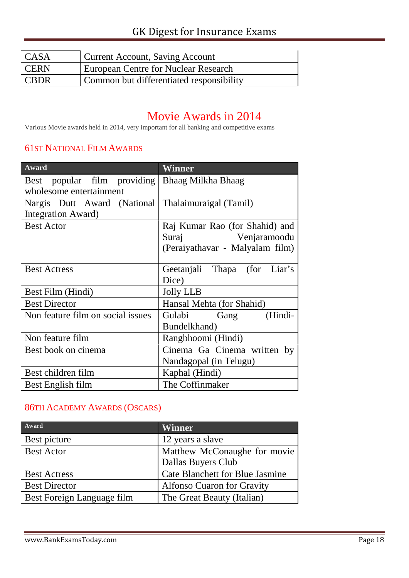| <b>CASA</b> | Current Account, Saving Account          |
|-------------|------------------------------------------|
| <b>CERN</b> | European Centre for Nuclear Research     |
| I CBDR      | Common but differentiated responsibility |

## Movie Awards in 2014

Various Movie awards held in 2014, very important for all banking and competitive exams

#### 61ST NATIONAL FILM AWARDS

| <b>Award</b>                                         | Winner                          |
|------------------------------------------------------|---------------------------------|
| Best popular film providing   Bhaag Milkha Bhaag     |                                 |
| wholesome entertainment                              |                                 |
| Nargis Dutt Award (National   Thalaimuraigal (Tamil) |                                 |
| Integration Award)                                   |                                 |
| <b>Best Actor</b>                                    | Raj Kumar Rao (for Shahid) and  |
|                                                      | Venjaramoodu<br>Suraj           |
|                                                      | (Peraiyathavar - Malyalam film) |
|                                                      |                                 |
| <b>Best Actress</b>                                  | Geetanjali Thapa (for Liar's    |
|                                                      | Dice)                           |
| Best Film (Hindi)                                    | <b>Jolly LLB</b>                |
| <b>Best Director</b>                                 | Hansal Mehta (for Shahid)       |
| Non feature film on social issues                    | Gulabi Gang<br>(Hindi-          |
|                                                      | Bundelkhand)                    |
| Non feature film                                     | Rangbhoomi (Hindi)              |
| Best book on cinema                                  | Cinema Ga Cinema written by     |
|                                                      | Nandagopal (in Telugu)          |
| Best children film                                   | Kaphal (Hindi)                  |
| Best English film                                    | The Coffinmaker                 |

#### 86TH ACADEMY AWARDS (OSCARS)

| Award                      | <b>Winner</b>                          |
|----------------------------|----------------------------------------|
| Best picture               | 12 years a slave                       |
| <b>Best Actor</b>          | Matthew McConaughe for movie           |
|                            | Dallas Buyers Club                     |
| <b>Best Actress</b>        | <b>Cate Blanchett for Blue Jasmine</b> |
| <b>Best Director</b>       | <b>Alfonso Cuaron for Gravity</b>      |
| Best Foreign Language film | The Great Beauty (Italian)             |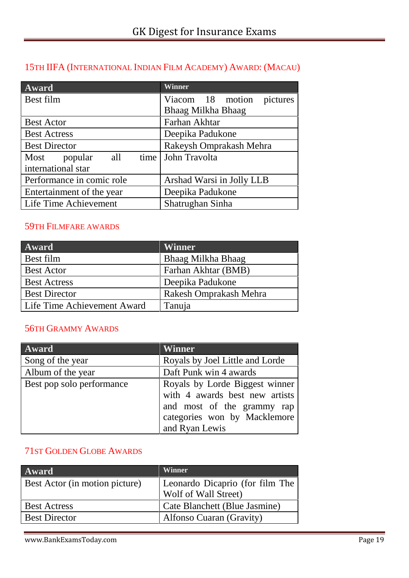#### 15TH IIFA (INTERNATIONAL INDIAN FILM ACADEMY) AWARD: (MACAU)

| Award                     | <b>Winner</b>                |
|---------------------------|------------------------------|
| Best film                 | Viacom 18 motion<br>pictures |
|                           | Bhaag Milkha Bhaag           |
| <b>Best Actor</b>         | Farhan Akhtar                |
| <b>Best Actress</b>       | Deepika Padukone             |
| <b>Best Director</b>      | Rakeysh Omprakash Mehra      |
| Most popular              | all time John Travolta       |
| international star        |                              |
| Performance in comic role | Arshad Warsi in Jolly LLB    |
| Entertainment of the year | Deepika Padukone             |
| Life Time Achievement     | Shatrughan Sinha             |

#### 59TH FILMFARE AWARDS

| Award                       | <b>Winner</b>          |
|-----------------------------|------------------------|
| Best film                   | Bhaag Milkha Bhaag     |
| <b>Best Actor</b>           | Farhan Akhtar (BMB)    |
| <b>Best Actress</b>         | Deepika Padukone       |
| <b>Best Director</b>        | Rakesh Omprakash Mehra |
| Life Time Achievement Award | Tanuja                 |

#### 56TH GRAMMY AWARDS

| Award                     | Winner                                                                                                                                           |
|---------------------------|--------------------------------------------------------------------------------------------------------------------------------------------------|
| Song of the year          | Royals by Joel Little and Lorde                                                                                                                  |
| Album of the year         | Daft Punk win 4 awards                                                                                                                           |
| Best pop solo performance | Royals by Lorde Biggest winner<br>with 4 awards best new artists<br>and most of the grammy rap<br>categories won by Macklemore<br>and Ryan Lewis |

#### 71ST GOLDEN GLOBE AWARDS

| Award                          | <b>Winner</b>                   |
|--------------------------------|---------------------------------|
| Best Actor (in motion picture) | Leonardo Dicaprio (for film The |
|                                | Wolf of Wall Street)            |
| <b>Best Actress</b>            | Cate Blanchett (Blue Jasmine)   |
| <b>Best Director</b>           | Alfonso Cuaran (Gravity)        |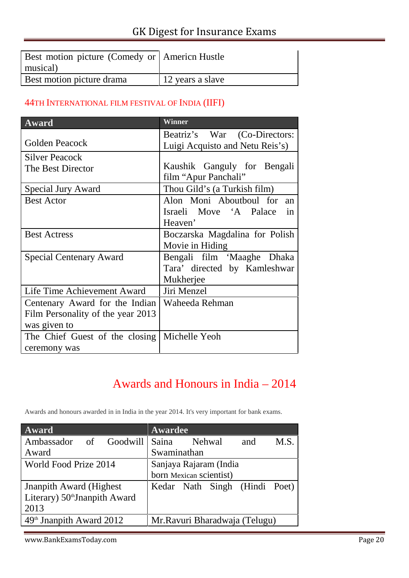| Best motion picture (Comedy or America Hustle<br>musical) |                  |
|-----------------------------------------------------------|------------------|
| Best motion picture drama                                 | 12 years a slave |

#### 44TH INTERNATIONAL FILM FESTIVAL OF INDIA (IIFI)

| <b>Award</b>                      | Winner                          |
|-----------------------------------|---------------------------------|
|                                   | Beatriz's War (Co-Directors:    |
| Golden Peacock                    | Luigi Acquisto and Netu Reis's) |
| <b>Silver Peacock</b>             |                                 |
| The Best Director                 | Kaushik Ganguly for Bengali     |
|                                   | film "Apur Panchali"            |
| <b>Special Jury Award</b>         | Thou Gild's (a Turkish film)    |
| <b>Best Actor</b>                 | Alon Moni Aboutboul for<br>an   |
|                                   | Israeli Move 'A Palace<br>in    |
|                                   | Heaven'                         |
| <b>Best Actress</b>               | Boczarska Magdalina for Polish  |
|                                   | Movie in Hiding                 |
| <b>Special Centenary Award</b>    | Bengali film 'Maaghe Dhaka      |
|                                   | Tara' directed by Kamleshwar    |
|                                   | Mukherjee                       |
| Life Time Achievement Award       | Jiri Menzel                     |
| Centenary Award for the Indian    | Waheeda Rehman                  |
| Film Personality of the year 2013 |                                 |
| was given to                      |                                 |
| The Chief Guest of the closing    | Michelle Yeoh                   |
| ceremony was                      |                                 |

## Awards and Honours in India – 2014

Awards and honours awarded in in India in the year 2014. It's very important for bank exams.

| Award                           | Awardee                        |  |
|---------------------------------|--------------------------------|--|
| Ambassador of<br>Goodwill       | Saina<br>Nehwal<br>M.S.<br>and |  |
| Award                           | Swaminathan                    |  |
| World Food Prize 2014           | Sanjaya Rajaram (India         |  |
|                                 | born Mexican scientist)        |  |
| <b>Jnanpith Award (Highest)</b> | Kedar Nath Singh (Hindi Poet)  |  |
| Literary) 50th Jnanpith Award   |                                |  |
| 2013                            |                                |  |
| $49th$ Jnanpith Award 2012      | Mr.Ravuri Bharadwaja (Telugu)  |  |

www.BankExamsToday.com example and the state of the page 20 Page 20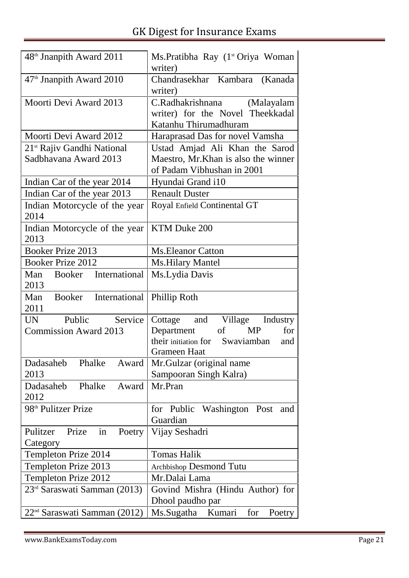| 48 <sup>th</sup> Jnanpith Award 2011     | Ms.Pratibha Ray (1 <sup>st</sup> Oriya Woman<br>writer)                                     |
|------------------------------------------|---------------------------------------------------------------------------------------------|
| 47 <sup>th</sup> Jnanpith Award 2010     | Chandrasekhar Kambara (Kanada<br>writer)                                                    |
| Moorti Devi Award 2013                   | C.Radhakrishnana<br>(Malayalam<br>writer) for the Novel Theekkadal<br>Katanhu Thirumadhuram |
| Moorti Devi Award 2012                   | Haraprasad Das for novel Vamsha                                                             |
| 21 <sup>st</sup> Rajiv Gandhi National   | Ustad Amjad Ali Khan the Sarod                                                              |
| Sadbhavana Award 2013                    | Maestro, Mr. Khan is also the winner<br>of Padam Vibhushan in 2001                          |
| Indian Car of the year 2014              | Hyundai Grand i10                                                                           |
| Indian Car of the year 2013              | <b>Renault Duster</b>                                                                       |
| Indian Motorcycle of the year<br>2014    | Royal Enfield Continental GT                                                                |
| Indian Motorcycle of the year<br>2013    | KTM Duke 200                                                                                |
| <b>Booker Prize 2013</b>                 | <b>Ms. Eleanor Catton</b>                                                                   |
| <b>Booker Prize 2012</b>                 | <b>Ms.Hilary Mantel</b>                                                                     |
| International<br>Man<br>Booker<br>2013   | Ms.Lydia Davis                                                                              |
| International<br>Man<br>Booker<br>2011   | Phillip Roth                                                                                |
| Service<br>Public<br><b>UN</b>           | and<br>Village Industry<br>Cottage                                                          |
| <b>Commission Award 2013</b>             | Department<br><b>MP</b><br>of<br>for                                                        |
|                                          | their initiation for Swaviamban<br>and                                                      |
|                                          | <b>Grameen Haat</b>                                                                         |
| Dadasaheb<br>Phalke<br>Award             | Mr. Gulzar (original name                                                                   |
| 2013                                     | Sampooran Singh Kalra)                                                                      |
| Dadasaheb<br>Phalke<br>Award<br>2012     | Mr.Pran                                                                                     |
| 98 <sup>th</sup> Pulitzer Prize          | Washington Post<br>for Public<br>and                                                        |
|                                          | Guardian                                                                                    |
| Poetry<br>Pulitzer<br>Prize<br>in        | Vijay Seshadri                                                                              |
| Category                                 |                                                                                             |
| Templeton Prize 2014                     | <b>Tomas Halik</b>                                                                          |
| Templeton Prize 2013                     | Archbishop Desmond Tutu                                                                     |
| Templeton Prize 2012                     | Mr.Dalai Lama                                                                               |
| 23 <sup>rd</sup> Saraswati Samman (2013) | Govind Mishra (Hindu Author) for<br>Dhool paudho par                                        |
| 22 <sup>nd</sup> Saraswati Samman (2012) | Ms.Sugatha<br>Kumari<br>for<br>Poetry                                                       |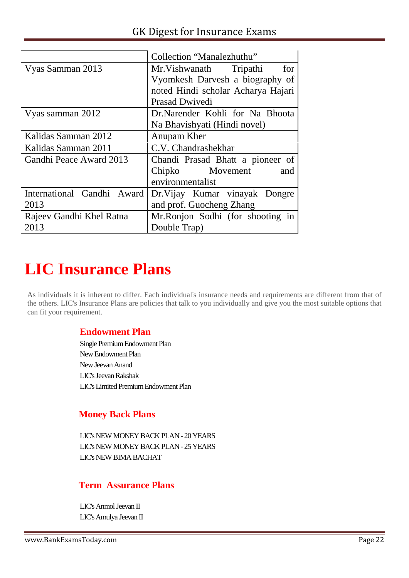|                            | Collection "Manalezhuthu"          |
|----------------------------|------------------------------------|
| Vyas Samman 2013           | Mr. Vishwanath<br>Tripathi<br>for  |
|                            | Vyomkesh Darvesh a biography of    |
|                            | noted Hindi scholar Acharya Hajari |
|                            | Prasad Dwivedi                     |
| Vyas samman 2012           | Dr.Narender Kohli for Na Bhoota    |
|                            | Na Bhavishyati (Hindi novel)       |
| Kalidas Samman 2012        | Anupam Kher                        |
| Kalidas Samman 2011        | C.V. Chandrashekhar                |
| Gandhi Peace Award 2013    | Chandi Prasad Bhatt a pioneer of   |
|                            | Chipko Movement<br>and             |
|                            | environmentalist                   |
| International Gandhi Award | Dr. Vijay Kumar vinayak Dongre     |
| 2013                       | and prof. Guocheng Zhang           |
| Rajeev Gandhi Khel Ratna   | Mr.Ronjon Sodhi (for shooting in   |
| 2013                       | Double Trap)                       |

# **LIC Insurance Plans**

As individuals it is inherent to differ. Each individual's insurance needs and requirements are different from that of the others. LIC's Insurance Plans are policies that talk to you individually and give you the most suitable options that can fit your requirement.

#### **Endowment Plan**

Single Premium Endowment Plan New Endowment Plan New Jeevan Anand LIC's Jeevan Rakshak LIC's Limited Premium Endowment Plan

#### **Money Back Plans**

LIC's NEW MONEY BACK PLAN-20 YEARS LIC's NEW MONEY BACK PLAN-25 YEARS LIC's NEW BIMA BACHAT

#### **Term Assurance Plans**

LIC's Anmol Jeevan II LIC'sAmulya Jeevan II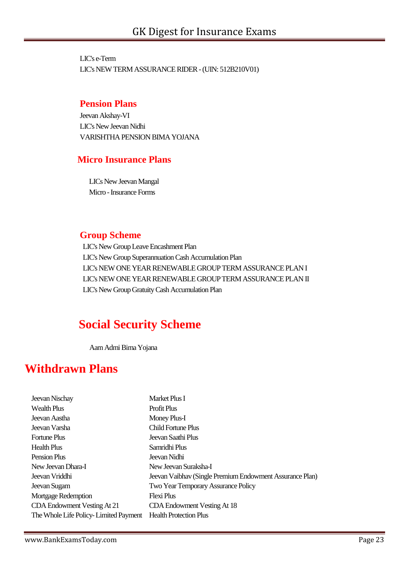LIC's e-Term LIC's NEW TERM ASSURANCE RIDER-(UIN: 512B210V01)

#### **Pension Plans**

Jeevan Akshay-VI LIC's New Jeevan Nidhi VARISHTHA PENSION BIMA YOJANA

#### **Micro Insurance Plans**

LICs NewJeevan Mangal Micro - Insurance Forms

#### **Group Scheme**

LIC's New Group Leave Encashment Plan LIC's New Group Superannuation Cash Accumulation Plan LIC's NEW ONE YEAR RENEWABLE GROUP TERM ASSURANCE PLAN I LIC's NEW ONE YEAR RENEWABLE GROUPTERM ASSURANCE PLAN II LIC's New Group Gratuity Cash Accumulation Plan

## **Social Security Scheme**

Aam Admi Bima Yojana

## **Withdrawn Plans**

| Jeevan Nischay                        | Market Plus I                                            |
|---------------------------------------|----------------------------------------------------------|
| <b>Wealth Plus</b>                    | <b>Profit Plus</b>                                       |
| Jeevan Aastha                         | Money Plus-I                                             |
| Jeevan Varsha                         | Child Fortune Plus                                       |
| <b>Fortune Plus</b>                   | Jeevan Saathi Plus                                       |
| Health Plus                           | Samridhi Plus                                            |
| Pension Plus                          | Jeevan Nidhi                                             |
| New Jeevan Dhara-I                    | New Jeevan Suraksha-I                                    |
| Jeevan Vriddhi                        | Jeevan Vaibhav (Single Premium Endowment Assurance Plan) |
| Jeevan Sugam                          | Two Year Temporary Assurance Policy                      |
| <b>Mortgage Redemption</b>            | Flexi Plus                                               |
| CDA Endowment Vesting At 21           | CDA Endowment Vesting At 18                              |
| The Whole Life Policy-Limited Payment | <b>Health Protection Plus</b>                            |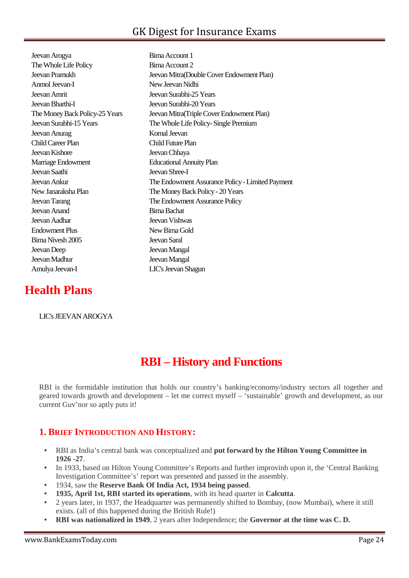Jeevan Arogya Bima Account 1 The Whole Life Policy Bima Account 2 Jeevan Pramukh Jeevan Mitra(Double Cover Endowment Plan) Anmol Jeevan-I New Jeevan Nidhi Jeevan Amrit Jeevan Surabhi-25 Years Jeevan Bharthi-I Jeevan Surabhi-20 Years The Money Back Policy-25 Years Jeevan Mitra(Triple Cover Endowment Plan) Jeevan Surabhi-15 Years The Whole Life Policy-Single Premium Jeevan Anurag Komal Jeevan Child Career Plan Child Future Plan Jeevan Kishore Jeevan Chhaya Marriage Endowment **Educational Annuity Plan** Jeevan Saathi Jeevan Shree-I Jeevan Anand Bima Bachat Jeevan Aadhar Jeevan Vishwas Endowment Plus New Bima Gold Bima Nivesh 2005 Jeevan Saral Jeevan Deep Jeevan Mangal Jeevan Madhur Jeevan Mangal Amulya Jeevan-I LIC's Jeevan Shagun

# Jeevan Ankur The Endowment Assurance Policy-Limited Payment New Janaraksha Plan The Money Back Policy - 20 Years Jeevan Tarang The Endowment Assurance Policy

## **Health Plans**

#### LIC's JEEVAN AROGYA

## **RBI – History and Functions**

RBI is the formidable institution that holds our country's banking/economy/industry sectors all together and geared towards growth and development – let me correct myself – 'sustainable' growth and development, as our current Guv'nor so aptly puts it!

#### **1. BRIEF INTRODUCTION AND HISTORY:**

- RBI as India's central bank was conceptualized and **put forward by the Hilton Young Committee in 1926 -27**.
- In 1933, based on Hilton Young Committee's Reports and further improvinh upon it, the 'Central Banking' Investigation Committee's' report was presented and passed in the assembly.
- 1934, saw the **Reserve Bank Of India Act, 1934 being passed**.
- **1935, April 1st, RBI started its operations**, with its head quarter in **Calcutta**.
- 2 years later, in 1937, the Headquarter was permanently shifted to Bombay, (now Mumbai), where it still exists. (all of this happened during the British Rule!)
- **RBI was nationalized in 1949**, 2 years after Independence; the **Governor at the time was C. D.**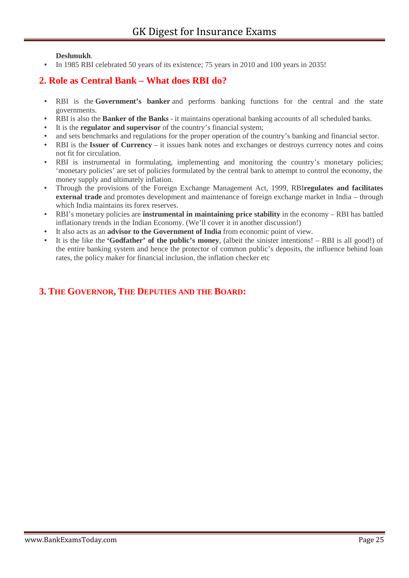#### **Deshmukh**.

In 1985 RBI celebrated 50 years of its existence; 75 years in 2010 and 100 years in 2035!

#### **2. Role as Central Bank – What does RBI do?**

- RBI is the **Government's banker** and performs banking functions for the central and the state governments.
- RBI is also the **Banker of the Banks** it maintains operational banking accounts of all scheduled banks.
- It is the **regulator and supervisor** of the country's financial system;
- and sets benchmarks and regulations for the proper operation of the country's banking and financial sector.
- RBI is the **Issuer of Currency** it issues bank notes and exchanges or destroys currency notes and coins not fit for circulation.
- RBI is instrumental in formulating, implementing and monitoring the country's monetary policies; 'monetary policies' are set of policies formulated by the central bank to attempt to control the economy, the money supply and ultimately inflation.
- Through the provisions of the Foreign Exchange Management Act, 1999, RBI**regulates and facilitates external trade** and promotes development and maintenance of foreign exchange market in India – through which India maintains its forex reserves.
- RBI's monetary policies are **instrumental in maintaining price stability** in the economy RBI has battled inflationary trends in the Indian Economy. (We'll cover it in another discussion!)
- It also acts as an **advisor to the Government of India** from economic point of view.
- It is the like the **'Godfather' of the public's money**, (albeit the sinister intentions! RBI is all good!) of the entire banking system and hence the protector of common public's deposits, the influence behind loan rates, the policy maker for financial inclusion, the inflation checker etc

#### **3. THE GOVERNOR, THE DEPUTIES AND THE BOARD:**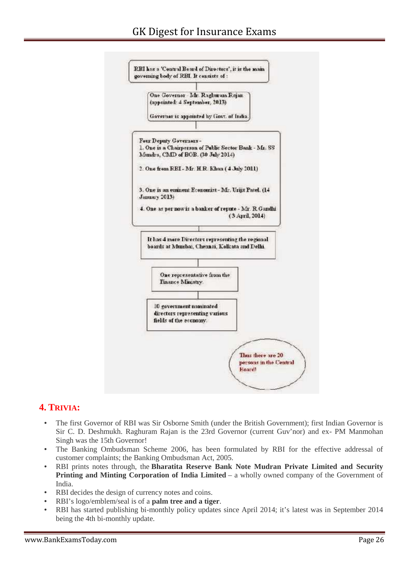#### GK Digest for Insurance Exams



#### **4. TRIVIA:**

- The first Governor of RBI was Sir Osborne Smith (under the British Government); first Indian Governor is Sir C. D. Deshmukh. Raghuram Rajan is the 23rd Governor (current Guv'nor) and ex- PM Manmohan Singh was the 15th Governor!
- The Banking Ombudsman Scheme 2006, has been formulated by RBI for the effective addressal of customer complaints; the Banking Ombudsman Act, 2005.
- RBI prints notes through, the **Bharatita Reserve Bank Note Mudran Private Limited and Security Printing and Minting Corporation of India Limited** – a wholly owned company of the Government of India.
- RBI decides the design of currency notes and coins.
- RBI's logo/emblem/seal is of a **palm tree and a tiger**.
- RBI has started publishing bi-monthly policy updates since April 2014; it's latest was in September 2014 being the 4th bi-monthly update.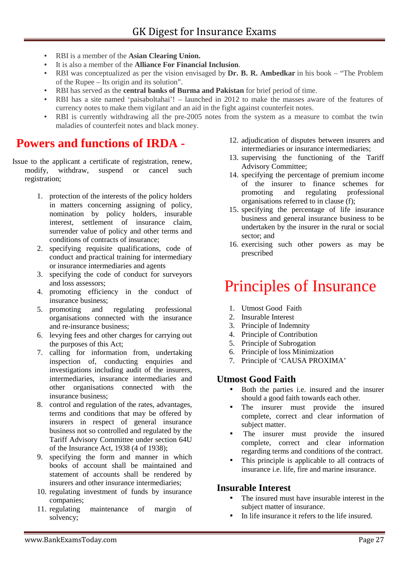- RBI is a member of the **Asian Clearing Union.**
- It is also a member of the **Alliance For Financial Inclusion**.
- RBI was conceptualized as per the vision envisaged by **Dr. B. R. Ambedkar** in his book "The Problem of the Rupee – Its origin and its solution".
- RBI has served as the **central banks of Burma and Pakistan** for brief period of time.
- RBI has a site named 'paisaboltahai'! launched in 2012 to make the masses aware of the features of currency notes to make them vigilant and an aid in the fight against counterfeit notes.
- RBI is currently withdrawing all the pre-2005 notes from the system as a measure to combat the twin maladies of counterfeit notes and black money.

## **Powers and functions of IRDA -**

Issue to the applicant a certificate of registration, renew, modify, withdraw, suspend or cancel such registration;

- 1. protection of the interests of the policy holders in matters concerning assigning of policy, nomination by policy holders, insurable interest, settlement of insurance claim, surrender value of policy and other terms and conditions of contracts of insurance;
- 2. specifying requisite qualifications, code of conduct and practical training for intermediary or insurance intermediaries and agents
- 3. specifying the code of conduct for surveyors and loss assessors;
- 4. promoting efficiency in the conduct of insurance business;
- 5. promoting and regulating professional organisations connected with the insurance and re-insurance business;
- 6. levying fees and other charges for carrying out the purposes of this Act;
- 7. calling for information from, undertaking inspection of, conducting enquiries and investigations including audit of the insurers, intermediaries, insurance intermediaries and other organisations connected with the insurance business;
- 8. control and regulation of the rates, advantages, terms and conditions that may be offered by insurers in respect of general insurance business not so controlled and regulated by the Tariff Advisory Committee under section 64U of the Insurance Act, 1938 (4 of 1938);
- 9. specifying the form and manner in which books of account shall be maintained and statement of accounts shall be rendered by insurers and other insurance intermediaries;
- 10. regulating investment of funds by insurance companies;
- 11. regulating maintenance of margin of solvency;
- 12. adjudication of disputes between insurers and intermediaries or insurance intermediaries;
- 13. supervising the functioning of the Tariff Advisory Committee;
- 14. specifying the percentage of premium income of the insurer to finance schemes for promoting and regulating professional organisations referred to in clause (f);
- 15. specifying the percentage of life insurance business and general insurance business to be undertaken by the insurer in the rural or social sector; and
- 16. exercising such other powers as may be prescribed

## Principles of Insurance

- 1. Utmost Good Faith
- 2. Insurable Interest
- 3. Principle of Indemnity
- 4. Principle of Contribution
- 5. Principle of Subrogation
- 6. Principle of loss Minimization
- 7. Principle of 'CAUSA PROXIMA'

#### **Utmost Good Faith**

- Both the parties i.e. insured and the insurer should a good faith towards each other.
- The insurer must provide the insured complete, correct and clear information of subject matter.
- The insurer must provide the insured complete, correct and clear information regarding terms and conditions of the contract.
- This principle is applicable to all contracts of insurance i.e. life, fire and marine insurance.

#### **Insurable Interest**

- The insured must have insurable interest in the subject matter of insurance.
- In life insurance it refers to the life insured.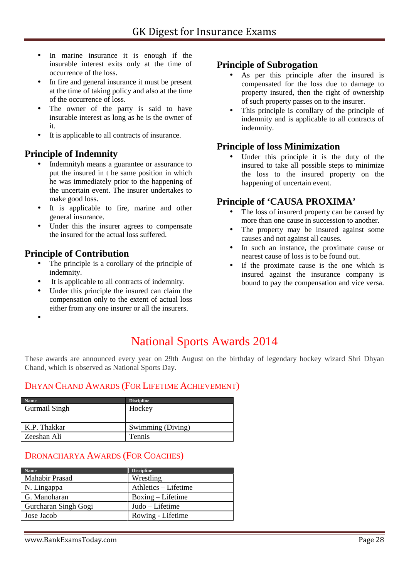- In marine insurance it is enough if the insurable interest exits only at the time of occurrence of the loss.
- In fire and general insurance it must be present at the time of taking policy and also at the time of the occurrence of loss.
- The owner of the party is said to have insurable interest as long as he is the owner of it.
- It is applicable to all contracts of insurance.

#### **Principle of Indemnity**

- Indemnityh means a guarantee or assurance to put the insured in t he same position in which he was immediately prior to the happening of the uncertain event. The insurer undertakes to make good loss.
- It is applicable to fire, marine and other general insurance.
- Under this the insurer agrees to compensate the insured for the actual loss suffered.

#### **Principle of Contribution**

- The principle is a corollary of the principle of indemnity.
- It is applicable to all contracts of indemnity.
- Under this principle the insured can claim the compensation only to the extent of actual loss either from any one insurer or all the insurers.

#### **Principle of Subrogation**

- As per this principle after the insured is compensated for the loss due to damage to property insured, then the right of ownership of such property passes on to the insurer.
- This principle is corollary of the principle of indemnity and is applicable to all contracts of indemnity.

#### **Principle of loss Minimization**

 Under this principle it is the duty of the insured to take all possible steps to minimize the loss to the insured property on the happening of uncertain event.

#### **Principle of 'CAUSA PROXIMA'**

- The loss of insurerd property can be caused by more than one cause in succession to another.
- The property may be insured against some causes and not against all causes.
- In such an instance, the proximate cause or nearest cause of loss is to be found out.
- If the proximate cause is the one which is insured against the insurance company is bound to pay the compensation and vice versa.

 $\bullet$  and  $\bullet$ 

## National Sports Awards 2014

These awards are announced every year on 29th August on the birthday of legendary hockey wizard Shri Dhyan Chand, which is observed as National Sports Day.

#### DHYAN CHAND AWARDS (FOR LIFETIME ACHIEVEMENT)

| <b>Name</b>          | <b>Discipline</b> |
|----------------------|-------------------|
| <b>Gurmail Singh</b> | Hockey            |
|                      |                   |
| K.P. Thakkar         | Swimming (Diving) |
| Zeeshan Ali          | Tennis            |

#### DRONACHARYA AWARDS (FOR COACHES)

| <b>Name</b>           | <b>Discipline</b>    |
|-----------------------|----------------------|
| <b>Mahabir Prasad</b> | Wrestling            |
| N. Lingappa           | Athletics – Lifetime |
| G. Manoharan          | Boxing – Lifetime    |
| Gurcharan Singh Gogi  | Judo – Lifetime      |
| Jose Jacob            | Rowing - Lifetime    |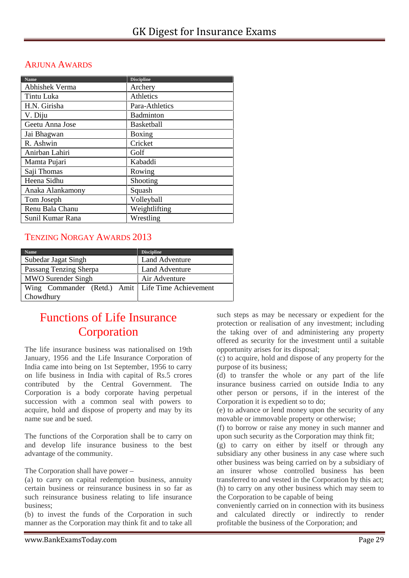#### ARJUNA AWARDS

| <b>Name</b>      | <b>Discipline</b> |
|------------------|-------------------|
| Abhishek Verma   | Archery           |
| Tintu Luka       | Athletics         |
| H.N. Girisha     | Para-Athletics    |
| V. Diju          | Badminton         |
| Geetu Anna Jose  | <b>Basketball</b> |
| Jai Bhagwan      | Boxing            |
| R. Ashwin        | Cricket           |
| Anirban Lahiri   | Golf              |
| Mamta Pujari     | Kabaddi           |
| Saji Thomas      | Rowing            |
| Heena Sidhu      | Shooting          |
| Anaka Alankamony | Squash            |
| Tom Joseph       | Volleyball        |
| Renu Bala Chanu  | Weightlifting     |
| Sunil Kumar Rana | Wrestling         |

#### TENZING NORGAY AWARDS 2013

| <b>Name</b>                                         | <b>Discipline</b>     |
|-----------------------------------------------------|-----------------------|
| Subedar Jagat Singh                                 | Land Adventure        |
| Passang Tenzing Sherpa                              | <b>Land Adventure</b> |
| <b>MWO</b> Surender Singh                           | Air Adventure         |
| Wing Commander (Retd.) Amit   Life Time Achievement |                       |
| Chowdhury                                           |                       |

## Functions of Life Insurance Corporation

The life insurance business was nationalised on 19th January, 1956 and the Life Insurance Corporation of India came into being on 1st September, 1956 to carry on life business in India with capital of Rs.5 crores contributed by the Central Government. The Corporation is a body corporate having perpetual succession with a common seal with powers to acquire, hold and dispose of property and may by its name sue and be sued.

The functions of the Corporation shall be to carry on and develop life insurance business to the best advantage of the community.

#### The Corporation shall have power –

(a) to carry on capital redemption business, annuity certain business or reinsurance business in so far as such reinsurance business relating to life insurance business;

(b) to invest the funds of the Corporation in such manner as the Corporation may think fit and to take all

such steps as may be necessary or expedient for the protection or realisation of any investment; including the taking over of and administering any property offered as security for the investment until a suitable opportunity arises for its disposal;

(c) to acquire, hold and dispose of any property for the purpose of its business;

(d) to transfer the whole or any part of the life insurance business carried on outside India to any other person or persons, if in the interest of the Corporation it is expedient so to do;

(e) to advance or lend money upon the security of any movable or immovable property or otherwise;

(f) to borrow or raise any money in such manner and upon such security as the Corporation may think fit;

(g) to carry on either by itself or through any subsidiary any other business in any case where such other business was being carried on by a subsidiary of an insurer whose controlled business has been transferred to and vested in the Corporation by this act; (h) to carry on any other business which may seem to the Corporation to be capable of being

conveniently carried on in connection with its business and calculated directly or indirectly to render profitable the business of the Corporation; and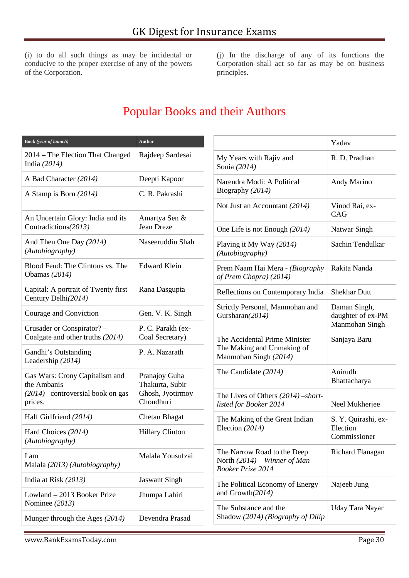(i) to do all such things as may be incidental or conducive to the proper exercise of any of the powers of the Corporation.

(j) In the discharge of any of its functions the Corporation shall act so far as may be on business principles.

## Popular Books and their Authors

| Book (year of launch)                                          | <b>Author</b>                        |                           |
|----------------------------------------------------------------|--------------------------------------|---------------------------|
| 2014 – The Election That Changed<br>India $(2014)$             | Rajdeep Sardesai                     | My<br>Soni                |
| A Bad Character (2014)                                         | Deepti Kapoor                        | Nare                      |
| A Stamp is Born (2014)                                         | C. R. Pakrashi                       | Biog                      |
|                                                                |                                      | <b>Not</b>                |
| An Uncertain Glory: India and its<br>Contradictions(2013)      | Amartya Sen &<br>Jean Dreze          | One                       |
| And Then One Day (2014)<br>(Autobiography)                     | Naseeruddin Shah                     | Play<br>(Aut              |
| Blood Feud: The Clintons vs. The<br>Obamas $(2014)$            | <b>Edward Klein</b>                  | Prer<br>of P              |
| Capital: A portrait of Twenty first<br>Century Delhi(2014)     | Rana Dasgupta                        | Refl                      |
| Courage and Conviction                                         | Gen. V. K. Singh                     | Stric<br>Gurs             |
| Crusader or Conspirator? -<br>Coalgate and other truths (2014) | P. C. Parakh (ex-<br>Coal Secretary) | The                       |
| Gandhi's Outstanding<br>Leadership (2014)                      | P. A. Nazarath                       | The<br>Man                |
| Gas Wars: Crony Capitalism and<br>the Ambanis                  | Pranajoy Guha<br>Thakurta, Subir     | The                       |
| $(2014)$ controversial book on gas<br>prices.                  | Ghosh, Jyotirmoy<br>Choudhuri        | The<br>liste              |
| Half Girlfriend (2014)                                         | Chetan Bhagat                        | The                       |
| Hard Choices (2014)<br>(Autobiography)                         | <b>Hillary Clinton</b>               | Elec                      |
| I am<br>Malala (2013) (Autobiography)                          | Malala Yousufzai                     | The<br>Nort<br><b>Boo</b> |
| India at Risk (2013)                                           | <b>Jaswant Singh</b>                 | The                       |
| Lowland - 2013 Booker Prize<br>Nominee (2013)                  | Jhumpa Lahiri                        | and                       |
| Munger through the Ages (2014)                                 | Devendra Prasad                      | The<br>Shao               |

|                                                                                           | Yadav                                               |
|-------------------------------------------------------------------------------------------|-----------------------------------------------------|
| My Years with Rajiv and<br>Sonia (2014)                                                   | R. D. Pradhan                                       |
| Narendra Modi: A Political<br>Biography (2014)                                            | Andy Marino                                         |
| Not Just an Accountant (2014)                                                             | Vinod Rai, ex-<br>CAG                               |
| One Life is not Enough (2014)                                                             | Natwar Singh                                        |
| Playing it My Way (2014)<br>(Autobiography)                                               | Sachin Tendulkar                                    |
| Prem Naam Hai Mera - (Biography<br>of Prem Chopra) (2014)                                 | Rakita Nanda                                        |
| Reflections on Contemporary India                                                         | <b>Shekhar Dutt</b>                                 |
| Strictly Personal, Manmohan and<br>Gursharan(2014)                                        | Daman Singh,<br>daughter of ex-PM<br>Manmohan Singh |
| The Accidental Prime Minister -<br>The Making and Unmaking of<br>Manmohan Singh (2014)    | Sanjaya Baru                                        |
| The Candidate (2014)                                                                      | Anirudh<br>Bhattacharya                             |
| The Lives of Others $(2014)$ –short-<br>listed for Booker 2014                            | Neel Mukherjee                                      |
| The Making of the Great Indian<br>Election $(2014)$                                       | S. Y. Quirashi, ex-<br>Election<br>Commissioner     |
| The Narrow Road to the Deep<br>North $(2014)$ – Winner of Man<br><b>Booker Prize 2014</b> | Richard Flanagan                                    |
| The Political Economy of Energy<br>and Growth(2014)                                       | Najeeb Jung                                         |
| The Substance and the<br>Shadow (2014) (Biography of Dilip                                | Uday Tara Nayar                                     |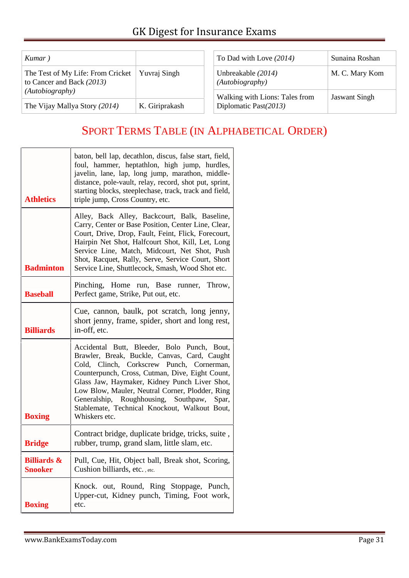| Kumar)                                                         |                | To Dad with Love (2014)               | Sunaina Roshan       |
|----------------------------------------------------------------|----------------|---------------------------------------|----------------------|
| The Test of My Life: From Cricket<br>to Cancer and Back (2013) | Yuvraj Singh   | Unbreakable (2014)<br>(Autobiography) | M. C. Mary Kom       |
| (Autobiography)                                                |                | Walking with Lions: Tales from        | <b>Jaswant Singh</b> |
| The Vijay Mallya Story (2014)                                  | K. Giriprakash | Diplomatic Past(2013)                 |                      |

## SPORT TERMS TABLE (IN ALPHABETICAL ORDER)

| <b>Athletics</b>                         | baton, bell lap, decathlon, discus, false start, field,<br>foul, hammer, heptathlon, high jump, hurdles,<br>javelin, lane, lap, long jump, marathon, middle-<br>distance, pole-vault, relay, record, shot put, sprint,<br>starting blocks, steeplechase, track, track and field,<br>triple jump, Cross Country, etc.                                                                                                  |  |
|------------------------------------------|-----------------------------------------------------------------------------------------------------------------------------------------------------------------------------------------------------------------------------------------------------------------------------------------------------------------------------------------------------------------------------------------------------------------------|--|
| <b>Badminton</b>                         | Alley, Back Alley, Backcourt, Balk, Baseline,<br>Carry, Center or Base Position, Center Line, Clear,<br>Court, Drive, Drop, Fault, Feint, Flick, Forecourt,<br>Hairpin Net Shot, Halfcourt Shot, Kill, Let, Long<br>Service Line, Match, Midcourt, Net Shot, Push<br>Shot, Racquet, Rally, Serve, Service Court, Short<br>Service Line, Shuttlecock, Smash, Wood Shot etc.                                            |  |
| <b>Baseball</b>                          | Pinching, Home run, Base runner, Throw,<br>Perfect game, Strike, Put out, etc.                                                                                                                                                                                                                                                                                                                                        |  |
| <b>Billiards</b>                         | Cue, cannon, baulk, pot scratch, long jenny,<br>short jenny, frame, spider, short and long rest,<br>in-off, etc.                                                                                                                                                                                                                                                                                                      |  |
| <b>Boxing</b>                            | Accidental Butt, Bleeder, Bolo Punch, Bout,<br>Brawler, Break, Buckle, Canvas, Card, Caught<br>Clinch, Corkscrew Punch, Cornerman,<br>Cold,<br>Counterpunch, Cross, Cutman, Dive, Eight Count,<br>Glass Jaw, Haymaker, Kidney Punch Liver Shot,<br>Low Blow, Mauler, Neutral Corner, Plodder, Ring<br>Generalship, Roughhousing, Southpaw,<br>Spar,<br>Stablemate, Technical Knockout, Walkout Bout,<br>Whiskers etc. |  |
| <b>Bridge</b>                            | Contract bridge, duplicate bridge, tricks, suite,<br>rubber, trump, grand slam, little slam, etc.                                                                                                                                                                                                                                                                                                                     |  |
| <b>Billiards &amp;</b><br><b>Snooker</b> | Pull, Cue, Hit, Object ball, Break shot, Scoring,<br>Cushion billiards, etc., etc.                                                                                                                                                                                                                                                                                                                                    |  |
| <b>Boxing</b>                            | Knock. out, Round, Ring Stoppage, Punch,<br>Upper-cut, Kidney punch, Timing, Foot work,<br>etc.                                                                                                                                                                                                                                                                                                                       |  |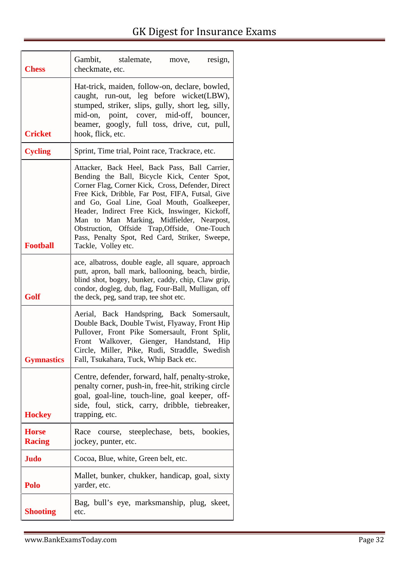| <b>Chess</b>                  | Gambit, stalemate, move,<br>resign,<br>checkmate, etc.                                                                                                                                                                                                                                                                                                                                                                                                                         |
|-------------------------------|--------------------------------------------------------------------------------------------------------------------------------------------------------------------------------------------------------------------------------------------------------------------------------------------------------------------------------------------------------------------------------------------------------------------------------------------------------------------------------|
| <b>Cricket</b>                | Hat-trick, maiden, follow-on, declare, bowled,<br>caught, run-out, leg before wicket(LBW),<br>stumped, striker, slips, gully, short leg, silly,<br>mid-on, point, cover, mid-off, bouncer,<br>beamer, googly, full toss, drive, cut, pull,<br>hook, flick, etc.                                                                                                                                                                                                                |
| <b>Cycling</b>                | Sprint, Time trial, Point race, Trackrace, etc.                                                                                                                                                                                                                                                                                                                                                                                                                                |
| <b>Football</b>               | Attacker, Back Heel, Back Pass, Ball Carrier,<br>Bending the Ball, Bicycle Kick, Center Spot,<br>Corner Flag, Corner Kick, Cross, Defender, Direct<br>Free Kick, Dribble, Far Post, FIFA, Futsal, Give<br>and Go, Goal Line, Goal Mouth, Goalkeeper,<br>Header, Indirect Free Kick, Inswinger, Kickoff,<br>Man to Man Marking, Midfielder, Nearpost,<br>Obstruction, Offside Trap, Offside, One-Touch<br>Pass, Penalty Spot, Red Card, Striker, Sweepe,<br>Tackle, Volley etc. |
| Golf                          | ace, albatross, double eagle, all square, approach<br>putt, apron, ball mark, ballooning, beach, birdie,<br>blind shot, bogey, bunker, caddy, chip, Claw grip,<br>condor, dogleg, dub, flag, Four-Ball, Mulligan, off<br>the deck, peg, sand trap, tee shot etc.                                                                                                                                                                                                               |
| <b>Gymnastics</b>             | Aerial, Back Handspring, Back Somersault,<br>Double Back, Double Twist, Flyaway, Front Hip<br>Pullover, Front Pike Somersault, Front Split,<br>Front Walkover, Gienger, Handstand, Hip<br>Circle, Miller, Pike, Rudi, Straddle, Swedish<br>Fall, Tsukahara, Tuck, Whip Back etc.                                                                                                                                                                                               |
| <b>Hockey</b>                 | Centre, defender, forward, half, penalty-stroke,<br>penalty corner, push-in, free-hit, striking circle<br>goal, goal-line, touch-line, goal keeper, off-<br>side, foul, stick, carry, dribble, tiebreaker,<br>trapping, etc.                                                                                                                                                                                                                                                   |
| <b>Horse</b><br><b>Racing</b> | Race course, steeplechase, bets, bookies,<br>jockey, punter, etc.                                                                                                                                                                                                                                                                                                                                                                                                              |
| <b>Judo</b>                   | Cocoa, Blue, white, Green belt, etc.                                                                                                                                                                                                                                                                                                                                                                                                                                           |
| Polo                          | Mallet, bunker, chukker, handicap, goal, sixty<br>yarder, etc.                                                                                                                                                                                                                                                                                                                                                                                                                 |
| <b>Shooting</b>               | Bag, bull's eye, marksmanship, plug, skeet,<br>etc.                                                                                                                                                                                                                                                                                                                                                                                                                            |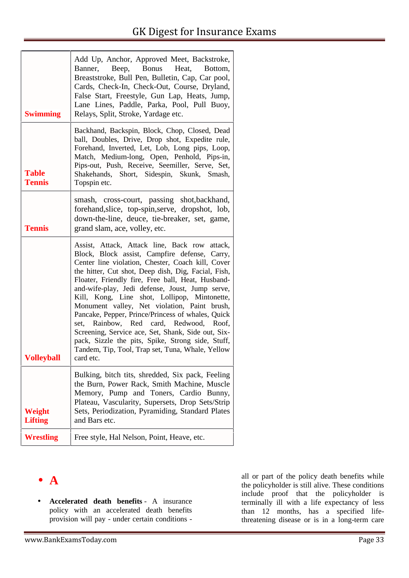| <b>Swimming</b>               | Add Up, Anchor, Approved Meet, Backstroke,<br>Banner, Beep, Bonus<br>Heat,<br>Bottom,<br>Breaststroke, Bull Pen, Bulletin, Cap, Car pool,<br>Cards, Check-In, Check-Out, Course, Dryland,<br>False Start, Freestyle, Gun Lap, Heats, Jump,<br>Lane Lines, Paddle, Parka, Pool, Pull Buoy,<br>Relays, Split, Stroke, Yardage etc.                                                                                                                                                                                                                                                                                                                                                                 |
|-------------------------------|--------------------------------------------------------------------------------------------------------------------------------------------------------------------------------------------------------------------------------------------------------------------------------------------------------------------------------------------------------------------------------------------------------------------------------------------------------------------------------------------------------------------------------------------------------------------------------------------------------------------------------------------------------------------------------------------------|
| <b>Table</b><br><b>Tennis</b> | Backhand, Backspin, Block, Chop, Closed, Dead<br>ball, Doubles, Drive, Drop shot, Expedite rule,<br>Forehand, Inverted, Let, Lob, Long pips, Loop,<br>Match, Medium-long, Open, Penhold, Pips-in,<br>Pips-out, Push, Receive, Seemiller, Serve, Set,<br>Shakehands, Short, Sidespin, Skunk, Smash,<br>Topspin etc.                                                                                                                                                                                                                                                                                                                                                                               |
| <b>Tennis</b>                 | smash, cross-court, passing shot, backhand,<br>forehand, slice, top-spin, serve, dropshot, lob,<br>down-the-line, deuce, tie-breaker, set, game,<br>grand slam, ace, volley, etc.                                                                                                                                                                                                                                                                                                                                                                                                                                                                                                                |
| Volleyball                    | Assist, Attack, Attack line, Back row attack,<br>Block, Block assist, Campfire defense, Carry,<br>Center line violation, Chester, Coach kill, Cover<br>the hitter, Cut shot, Deep dish, Dig, Facial, Fish,<br>Floater, Friendly fire, Free ball, Heat, Husband-<br>and-wife-play, Jedi defense, Joust, Jump serve,<br>Kill, Kong, Line shot, Lollipop, Mintonette,<br>Monument valley, Net violation, Paint brush,<br>Pancake, Pepper, Prince/Princess of whales, Quick<br>Rainbow, Red card, Redwood, Roof,<br>set,<br>Screening, Service ace, Set, Shank, Side out, Six-<br>pack, Sizzle the pits, Spike, Strong side, Stuff,<br>Tandem, Tip, Tool, Trap set, Tuna, Whale, Yellow<br>card etc. |
| Weight<br><b>Lifting</b>      | Bulking, bitch tits, shredded, Six pack, Feeling<br>the Burn, Power Rack, Smith Machine, Muscle<br>Memory, Pump and Toners, Cardio Bunny,<br>Plateau, Vascularity, Supersets, Drop Sets/Strip<br>Sets, Periodization, Pyramiding, Standard Plates<br>and Bars etc.                                                                                                                                                                                                                                                                                                                                                                                                                               |
| <b>Wrestling</b>              | Free style, Hal Nelson, Point, Heave, etc.                                                                                                                                                                                                                                                                                                                                                                                                                                                                                                                                                                                                                                                       |

## **A**

 **Accelerated death benefits** - A insurance policy with an accelerated death benefits provision will pay - under certain conditions -

all or part of the policy death benefits while the policyholder is still alive. These conditions include proof that the policyholder is terminally ill with a life expectancy of less than 12 months, has a specified lifethreatening disease or is in a long-term care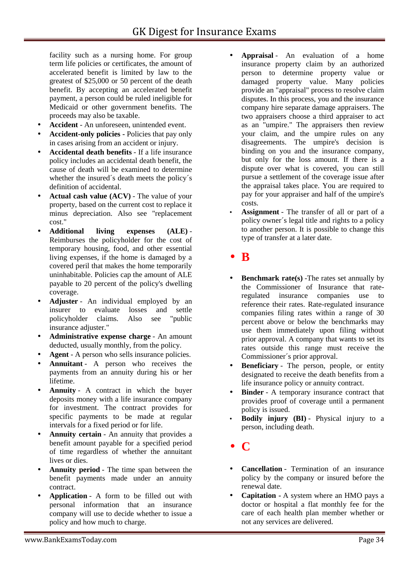facility such as a nursing home. For group term life policies or certificates, the amount of accelerated benefit is limited by law to the greatest of \$25,000 or 50 percent of the death benefit. By accepting an accelerated benefit payment, a person could be ruled ineligible for Medicaid or other government benefits. The proceeds may also be taxable.

- **Accident** An unforeseen, unintended event.
- **Accident-only policies -** Policies that pay only in cases arising from an accident or injury.
- **Accidental death benefits** If a life insurance policy includes an accidental death benefit, the cause of death will be examined to determine whether the insured´s death meets the policy´s definition of accidental.
- **Actual cash value (ACV)** The value of your property, based on the current cost to replace it minus depreciation. Also see "replacement cost."
- **Additional living expenses (ALE)** Reimburses the policyholder for the cost of temporary housing, food, and other essential living expenses, if the home is damaged by a covered peril that makes the home temporarily uninhabitable. Policies cap the amount of ALE payable to 20 percent of the policy's dwelling coverage.
- **Adjuster** An individual employed by an insurer to evaluate losses and settle policyholder claims. Also see "public insurance adjuster."
- **Administrative expense charge** An amount deducted, usually monthly, from the policy.
- **Agent** A person who sells insurance policies.
- **Annuitant** A person who receives the payments from an annuity during his or her lifetime.
- **Annuity** A contract in which the buyer deposits money with a life insurance company for investment. The contract provides for specific payments to be made at regular intervals for a fixed period or for life.
- **Annuity certain** An annuity that provides a benefit amount payable for a specified period of time regardless of whether the annuitant lives or dies.
- **Annuity period** The time span between the benefit payments made under an annuity contract.
- **Application** A form to be filled out with personal information that an insurance company will use to decide whether to issue a policy and how much to charge.
- **Appraisal** An evaluation of a home insurance property claim by an authorized person to determine property value or damaged property value. Many policies provide an "appraisal" process to resolve claim disputes. In this process, you and the insurance company hire separate damage appraisers. The two appraisers choose a third appraiser to act as an "umpire." The appraisers then review your claim, and the umpire rules on any disagreements. The umpire's decision is binding on you and the insurance company, but only for the loss amount. If there is a dispute over what is covered, you can still pursue a settlement of the coverage issue after the appraisal takes place. You are required to pay for your appraiser and half of the umpire's costs.
- **Assignment** The transfer of all or part of a policy owner´s legal title and rights to a policy to another person. It is possible to change this type of transfer at a later date.

### **B**

- **Benchmark rate(s)** -The rates set annually by the Commissioner of Insurance that rateregulated insurance companies use to reference their rates. Rate-regulated insurance companies filing rates within a range of 30 percent above or below the benchmarks may use them immediately upon filing without prior approval. A company that wants to set its rates outside this range must receive the Commissioner´s prior approval.
- **Beneficiary** The person, people, or entity designated to receive the death benefits from a life insurance policy or annuity contract.
- **Binder** A temporary insurance contract that provides proof of coverage until a permanent policy is issued.
- **Bodily injury (BI)** Physical injury to a person, including death.
- **C**
- **Cancellation** Termination of an insurance policy by the company or insured before the renewal date.
- **Capitation -** A system where an HMO pays a doctor or hospital a flat monthly fee for the care of each health plan member whether or not any services are delivered.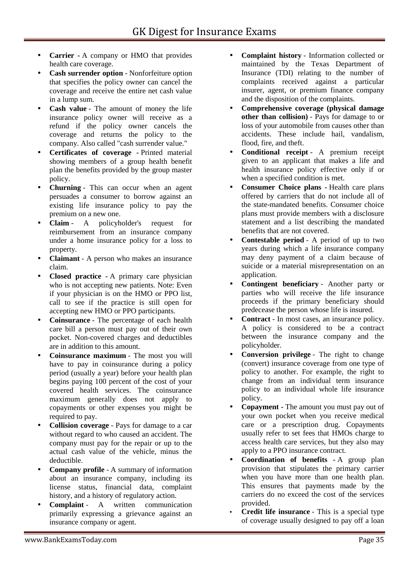- **Carrier -**A company or HMO that provides health care coverage.
- **Cash surrender option** Nonforfeiture option that specifies the policy owner can cancel the coverage and receive the entire net cash value in a lump sum.
- **Cash value** The amount of money the life insurance policy owner will receive as a refund if the policy owner cancels the coverage and returns the policy to the company. Also called "cash surrender value."
- **Certificates of coverage -** Printed material showing members of a group health benefit plan the benefits provided by the group master policy.
- **Churning** This can occur when an agent persuades a consumer to borrow against an existing life insurance policy to pay the premium on a new one.
- **Claim** A policyholder's request for reimbursement from an insurance company under a home insurance policy for a loss to property.
- **Claimant** A person who makes an insurance claim.
- **Closed practice -**A primary care physician who is not accepting new patients. Note: Even if your physician is on the HMO or PPO list, call to see if the practice is still open for accepting new HMO or PPO participants.
- **Coinsurance** The percentage of each health care bill a person must pay out of their own pocket. Non-covered charges and deductibles are in addition to this amount.
- **Coinsurance maximum** The most you will have to pay in coinsurance during a policy period (usually a year) before your health plan begins paying 100 percent of the cost of your covered health services. The coinsurance maximum generally does not apply to copayments or other expenses you might be required to pay.
- **Collision coverage** Pays for damage to a car without regard to who caused an accident. The company must pay for the repair or up to the actual cash value of the vehicle, minus the deductible.
- **Company profile** A summary of information about an insurance company, including its license status, financial data, complaint history, and a history of regulatory action.
- **Complaint** A written communication primarily expressing a grievance against an insurance company or agent.
- **Complaint history** Information collected or maintained by the Texas Department of Insurance (TDI) relating to the number of complaints received against a particular insurer, agent, or premium finance company and the disposition of the complaints.
- **Comprehensive coverage (physical damage other than collision)** - Pays for damage to or loss of your automobile from causes other than accidents. These include hail, vandalism, flood, fire, and theft.
- **Conditional receipt** A premium receipt given to an applicant that makes a life and health insurance policy effective only if or when a specified condition is met.
- **Consumer Choice plans -** Health care plans offered by carriers that do not include all of the state-mandated benefits. Consumer choice plans must provide members with a disclosure statement and a list describing the mandated benefits that are not covered.
- **Contestable period** A period of up to two years during which a life insurance company may deny payment of a claim because of suicide or a material misrepresentation on an application.
- **Contingent beneficiary** Another party or parties who will receive the life insurance proceeds if the primary beneficiary should predecease the person whose life is insured.
- **Contract** In most cases, an insurance policy. A policy is considered to be a contract between the insurance company and the policyholder.
- **Conversion privilege** The right to change (convert) insurance coverage from one type of policy to another. For example, the right to change from an individual term insurance policy to an individual whole life insurance policy.
- **Copayment -** The amount you must pay out of your own pocket when you receive medical care or a prescription drug. Copayments usually refer to set fees that HMOs charge to access health care services, but they also may apply to a PPO insurance contract.
- **Coordination of benefits -** A group plan provision that stipulates the primary carrier when you have more than one health plan. This ensures that payments made by the carriers do no exceed the cost of the services provided.
- **Credit life insurance** This is a special type of coverage usually designed to pay off a loan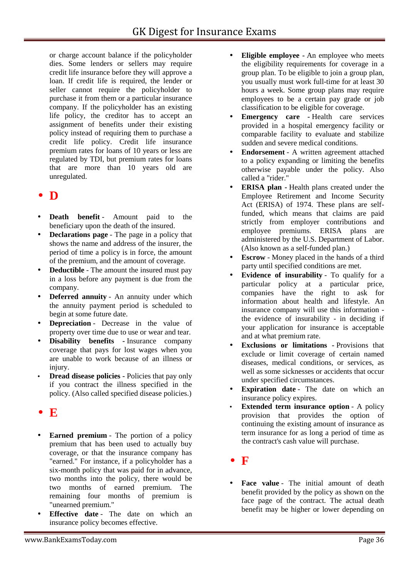or charge account balance if the policyholder dies. Some lenders or sellers may require credit life insurance before they will approve a loan. If credit life is required, the lender or seller cannot require the policyholder to purchase it from them or a particular insurance company. If the policyholder has an existing life policy, the creditor has to accept an assignment of benefits under their existing policy instead of requiring them to purchase a credit life policy. Credit life insurance premium rates for loans of 10 years or less are regulated by TDI, but premium rates for loans that are more than 10 years old are unregulated.

## **D**

- **Death benefit** Amount paid to the beneficiary upon the death of the insured.
- **Declarations page** The page in a policy that shows the name and address of the insurer, the period of time a policy is in force, the amount of the premium, and the amount of coverage.
- **Deductible** The amount the insured must pay in a loss before any payment is due from the company.
- **Deferred annuity** An annuity under which the annuity payment period is scheduled to begin at some future date.
- **Depreciation** Decrease in the value of property over time due to use or wear and tear.
- **Disability benefits -** Insurance company coverage that pays for lost wages when you are unable to work because of an illness or injury.
- **Dread disease policies -** Policies that pay only if you contract the illness specified in the policy. (Also called specified disease policies.)
- $\bullet$   $\mathbf{E}$
- **Earned premium** The portion of a policy premium that has been used to actually buy coverage, or that the insurance company has "earned." For instance, if a policyholder has a six-month policy that was paid for in advance, two months into the policy, there would be two months of earned premium. The remaining four months of premium is "unearned premium."
- **Effective date** The date on which an insurance policy becomes effective.
- **Eligible employee -** An employee who meets the eligibility requirements for coverage in a group plan. To be eligible to join a group plan, you usually must work full-time for at least 30 hours a week. Some group plans may require employees to be a certain pay grade or job classification to be eligible for coverage.
- **Emergency care -** Health care services provided in a hospital emergency facility or comparable facility to evaluate and stabilize sudden and severe medical conditions.
- **Endorsement** A written agreement attached to a policy expanding or limiting the benefits otherwise payable under the policy. Also called a "rider."
- **ERISA plan -** Health plans created under the Employee Retirement and Income Security Act (ERISA) of 1974. These plans are selffunded, which means that claims are paid strictly from employer contributions and employee premiums. ERISA plans are administered by the U.S. Department of Labor. (Also known as a self-funded plan.)
- **Escrow** Money placed in the hands of a third party until specified conditions are met.
- **Evidence of insurability** To qualify for a particular policy at a particular price, companies have the right to ask for information about health and lifestyle. An insurance company will use this information the evidence of insurability - in deciding if your application for insurance is acceptable and at what premium rate.
- **Exclusions or limitations -** Provisions that exclude or limit coverage of certain named diseases, medical conditions, or services, as well as some sicknesses or accidents that occur under specified circumstances.
- **Expiration date** The date on which an insurance policy expires.
- **Extended term insurance option** A policy provision that provides the option of continuing the existing amount of insurance as term insurance for as long a period of time as the contract's cash value will purchase.
- **F**
- Face value The initial amount of death benefit provided by the policy as shown on the face page of the contract. The actual death benefit may be higher or lower depending on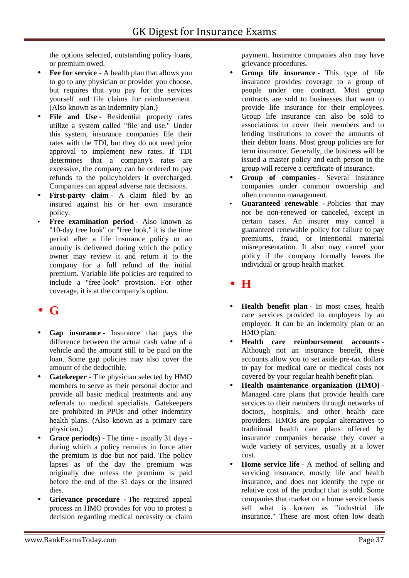the options selected, outstanding policy loans, or premium owed.

- **Fee for service -** A health plan that allows you to go to any physician or provider you choose, but requires that you pay for the services yourself and file claims for reimbursement. (Also known as an indemnity plan.)
- File and Use Residential property rates utilize a system called "file and use." Under this system, insurance companies file their rates with the TDI, but they do not need prior approval to implement new rates. If TDI determines that a company's rates are excessive, the company can be ordered to pay refunds to the policyholders it overcharged. Companies can appeal adverse rate decisions.
- **First-party claim** A claim filed by an insured against his or her own insurance policy.
- **Free examination period** Also known as "10-day free look" or "free look," it is the time period after a life insurance policy or an annuity is delivered during which the policy owner may review it and return it to the company for a full refund of the initial premium. Variable life policies are required to include a "free-look" provision. For other coverage, it is at the company´s option.

## **G**

- **Gap insurance** Insurance that pays the difference between the actual cash value of a vehicle and the amount still to be paid on the loan. Some gap policies may also cover the amount of the deductible.
- **Gatekeeper -** The physician selected by HMO members to serve as their personal doctor and provide all basic medical treatments and any referrals to medical specialists. Gatekeepers are prohibited in PPOs and other indemnity health plans. (Also known as a primary care physician.)
- **Grace period(s)** The time usually 31 days during which a policy remains in force after the premium is due but not paid. The policy lapses as of the day the premium was originally due unless the premium is paid before the end of the 31 days or the insured dies.
- **Grievance procedure -** The required appeal process an HMO provides for you to protest a decision regarding medical necessity or claim

payment. Insurance companies also may have grievance procedures.

- **Group life insurance** This type of life insurance provides coverage to a group of people under one contract. Most group contracts are sold to businesses that want to provide life insurance for their employees. Group life insurance can also be sold to associations to cover their members and to lending institutions to cover the amounts of their debtor loans. Most group policies are for term insurance. Generally, the business will be issued a master policy and each person in the group will receive a certificate of insurance.
- **Group of companies** Several insurance companies under common ownership and often common management.
- **Guaranteed renewable -** Policies that may not be non-renewed or canceled, except in certain cases. An insurer may cancel a guaranteed renewable policy for failure to pay premiums, fraud, or intentional material misrepresentation. It also may cancel your policy if the company formally leaves the individual or group health market.
- **H**
- **Health benefit plan** In most cases, health care services provided to employees by an employer. It can be an indemnity plan or an HMO plan.
- **Health care reimbursement accounts** Although not an insurance benefit, these accounts allow you to set aside pre-tax dollars to pay for medical care or medical costs not covered by your regular health benefit plan.
- **Health maintenance organization (HMO)** Managed care plans that provide health care services to their members through networks of doctors, hospitals, and other health care providers. HMOs are popular alternatives to traditional health care plans offered by insurance companies because they cover a wide variety of services, usually at a lower cost.
- **Home service life** A method of selling and servicing insurance, mostly life and health insurance, and does not identify the type or relative cost of the product that is sold. Some companies that market on a home service basis sell what is known as "industrial life insurance." These are most often low death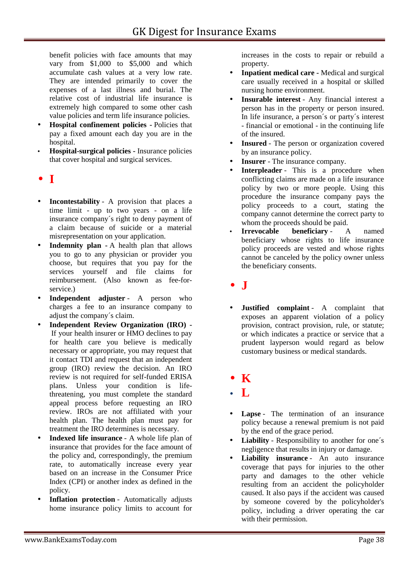benefit policies with face amounts that may vary from \$1,000 to \$5,000 and which accumulate cash values at a very low rate. They are intended primarily to cover the expenses of a last illness and burial. The relative cost of industrial life insurance is extremely high compared to some other cash value policies and term life insurance policies.

- **Hospital confinement policies -** Policies that pay a fixed amount each day you are in the hospital.
- **Hospital-surgical policies -** Insurance policies that cover hospital and surgical services.
- **I**
- **Incontestability** A provision that places a time limit - up to two years - on a life insurance company´s right to deny payment of a claim because of suicide or a material misrepresentation on your application.
- **Indemnity plan -** A health plan that allows you to go to any physician or provider you choose, but requires that you pay for the services yourself and file claims for reimbursement. (Also known as fee-for service.)
- **Independent adjuster** A person who charges a fee to an insurance company to adjust the company´s claim.
- **Independent Review Organization (IRO) -** If your health insurer or HMO declines to pay for health care you believe is medically necessary or appropriate, you may request that it contact TDI and request that an independent group (IRO) review the decision. An IRO review is not required for self-funded ERISA plans. Unless your condition is lifethreatening, you must complete the standard appeal process before requesting an IRO review. IROs are not affiliated with your health plan. The health plan must pay for treatment the IRO determines is necessary.
- **Indexed life insurance** A whole life plan of insurance that provides for the face amount of the policy and, correspondingly, the premium rate, to automatically increase every year based on an increase in the Consumer Price Index (CPI) or another index as defined in the policy.
- **Inflation protection** Automatically adjusts home insurance policy limits to account for

increases in the costs to repair or rebuild a property.

- **Inpatient medical care -** Medical and surgical care usually received in a hospital or skilled nursing home environment.
- **Insurable interest** Any financial interest a person has in the property or person insured. In life insurance, a person´s or party´s interest - financial or emotional - in the continuing life of the insured.
- **Insured** The person or organization covered by an insurance policy.
- **Insurer** The insurance company.
- **Interpleader** This is a procedure when conflicting claims are made on a life insurance policy by two or more people. Using this procedure the insurance company pays the policy proceeds to a court, stating the company cannot determine the correct party to whom the proceeds should be paid.
- **Irrevocable beneficiary** A named beneficiary whose rights to life insurance policy proceeds are vested and whose rights cannot be canceled by the policy owner unless the beneficiary consents.
- **J**
- **Justified complaint** A complaint that exposes an apparent violation of a policy provision, contract provision, rule, or statute; or which indicates a practice or service that a prudent layperson would regard as below customary business or medical standards.
- **K**
- **L**
- **Lapse** The termination of an insurance policy because a renewal premium is not paid by the end of the grace period.
- **Liability** Responsibility to another for one´s negligence that results in injury or damage.
- **Liability insurance** An auto insurance coverage that pays for injuries to the other party and damages to the other vehicle resulting from an accident the policyholder caused. It also pays if the accident was caused by someone covered by the policyholder's policy, including a driver operating the car with their permission.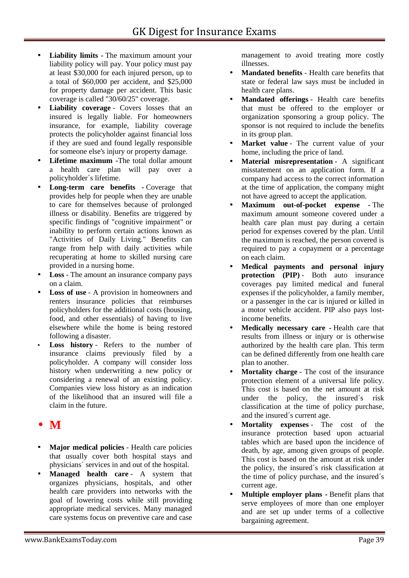- **Liability limits -** The maximum amount your liability policy will pay. Your policy must pay at least \$30,000 for each injured person, up to a total of \$60,000 per accident, and \$25,000 for property damage per accident. This basic coverage is called "30/60/25" coverage.
- **Liability coverage** Covers losses that an insured is legally liable. For homeowners insurance, for example, liability coverage protects the policyholder against financial loss if they are sued and found legally responsible for someone else's injury or property damage.
- **Lifetime maximum -**The total dollar amount a health care plan will pay over a policyholder´s lifetime.
- **Long-term care benefits -** Coverage that provides help for people when they are unable to care for themselves because of prolonged illness or disability. Benefits are triggered by specific findings of "cognitive impairment" or inability to perform certain actions known as "Activities of Daily Living." Benefits can range from help with daily activities while recuperating at home to skilled nursing care provided in a nursing home.
- **Loss** The amount an insurance company pays on a claim.
- **Loss of use** A provision in homeowners and renters insurance policies that reimburses policyholders for the additional costs (housing, food, and other essentials) of having to live elsewhere while the home is being restored following a disaster.
- **Loss history** Refers to the number of insurance claims previously filed by a policyholder. A company will consider loss history when underwriting a new policy or considering a renewal of an existing policy. Companies view loss history as an indication of the likelihood that an insured will file a claim in the future.

## $\bullet$  M

- **Major medical policies** Health care policies that usually cover both hospital stays and physicians´ services in and out of the hospital.
- **Managed health care** A system that organizes physicians, hospitals, and other health care providers into networks with the goal of lowering costs while still providing appropriate medical services. Many managed care systems focus on preventive care and case

management to avoid treating more costly illnesses.

- **Mandated benefits** Health care benefits that state or federal law says must be included in health care plans.
- **Mandated offerings** Health care benefits that must be offered to the employer or organization sponsoring a group policy. The sponsor is not required to include the benefits in its group plan.
- **Market value** The current value of your home, including the price of land.
- **Material misrepresentation** A significant misstatement on an application form. If a company had access to the correct information at the time of application, the company might not have agreed to accept the application.
- **Maximum out-of-pocket expense -** The maximum amount someone covered under a health care plan must pay during a certain period for expenses covered by the plan. Until the maximum is reached, the person covered is required to pay a copayment or a percentage on each claim.
- **Medical payments and personal injury protection** (PIP) - Both auto insurance coverages pay limited medical and funeral expenses if the policyholder, a family member, or a passenger in the car is injured or killed in a motor vehicle accident. PIP also pays lostincome benefits.
- **Medically necessary care -**Health care that results from illness or injury or is otherwise authorized by the health care plan. This term can be defined differently from one health care plan to another.
- **Mortality charge** The cost of the insurance protection element of a universal life policy. This cost is based on the net amount at risk under the policy, the insured´s risk classification at the time of policy purchase, and the insured´s current age.
- **Mortality expenses** The cost of the insurance protection based upon actuarial tables which are based upon the incidence of death, by age, among given groups of people. This cost is based on the amount at risk under the policy, the insured´s risk classification at the time of policy purchase, and the insured´s current age.
- **Multiple employer plans -** Benefit plans that serve employees of more than one employer and are set up under terms of a collective bargaining agreement.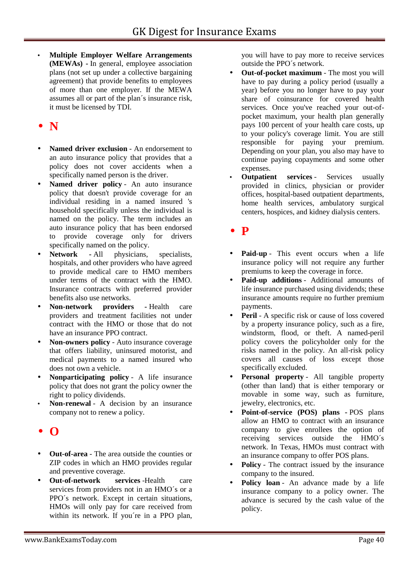**Multiple Employer Welfare Arrangements (MEWAs) -** In general, employee association plans (not set up under a collective bargaining agreement) that provide benefits to employees of more than one employer. If the MEWA assumes all or part of the plan´s insurance risk, it must be licensed by TDI.

## **N**

- **Named driver exclusion** An endorsement to an auto insurance policy that provides that a policy does not cover accidents when a specifically named person is the driver.
- **Named driver policy** An auto insurance policy that doesn't provide coverage for an individual residing in a named insured 's household specifically unless the individual is named on the policy. The term includes an auto insurance policy that has been endorsed to provide coverage only for drivers specifically named on the policy.
- **Network -** All physicians, specialists, hospitals, and other providers who have agreed to provide medical care to HMO members under terms of the contract with the HMO. Insurance contracts with preferred provider benefits also use networks.
- **Non-network providers -** Health care providers and treatment facilities not under contract with the HMO or those that do not have an insurance PPO contract.
- **Non-owners policy** Auto insurance coverage that offers liability, uninsured motorist, and medical payments to a named insured who does not own a vehicle.
- **Nonparticipating policy** A life insurance policy that does not grant the policy owner the right to policy dividends.
- **Non-renewal** A decision by an insurance company not to renew a policy.
- **O**
- **Out-of-area** The area outside the counties or ZIP codes in which an HMO provides regular and preventive coverage.
- **Out-of-network services** -Health care services from providers not in an HMO´s or a PPO´s network. Except in certain situations, HMOs will only pay for care received from within its network. If you're in a PPO plan,

you will have to pay more to receive services outside the PPO´s network.

- **Out-of-pocket maximum** The most you will have to pay during a policy period (usually a year) before you no longer have to pay your share of coinsurance for covered health services. Once you've reached your out-of pocket maximum, your health plan generally pays 100 percent of your health care costs, up to your policy's coverage limit. You are still responsible for paying your premium. Depending on your plan, you also may have to continue paying copayments and some other expenses.
- **Outpatient services Services usually** provided in clinics, physician or provider offices, hospital-based outpatient departments, home health services, ambulatory surgical centers, hospices, and kidney dialysis centers.

## **P**

- **Paid-up** This event occurs when a life insurance policy will not require any further premiums to keep the coverage in force.
- **Paid-up additions** Additional amounts of life insurance purchased using dividends; these insurance amounts require no further premium payments.
- **Peril** A specific risk or cause of loss covered by a property insurance policy, such as a fire, windstorm, flood, or theft. A named-peril policy covers the policyholder only for the risks named in the policy. An all-risk policy covers all causes of loss except those specifically excluded.
- **Personal property** All tangible property (other than land) that is either temporary or movable in some way, such as furniture, jewelry, electronics, etc.
- **Point-of-service (POS) plans -** POS plans allow an HMO to contract with an insurance company to give enrollees the option of receiving services outside the HMO´s network. In Texas, HMOs must contract with an insurance company to offer POS plans.
- **Policy** The contract issued by the insurance company to the insured.
- Policy loan An advance made by a life insurance company to a policy owner. The advance is secured by the cash value of the policy.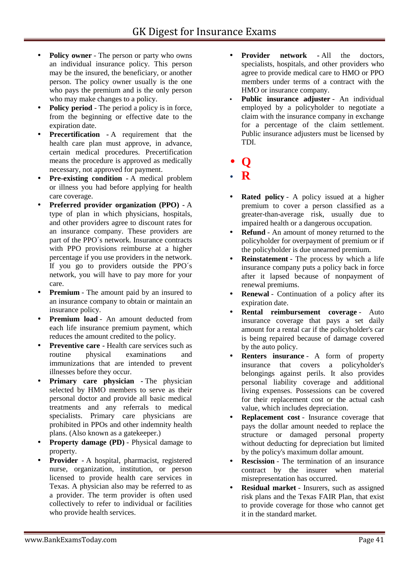- **Policy owner** The person or party who owns an individual insurance policy. This person may be the insured, the beneficiary, or another person. The policy owner usually is the one who pays the premium and is the only person who may make changes to a policy.
- **Policy period** The period a policy is in force, from the beginning or effective date to the expiration date.
- **Precertification -** A requirement that the health care plan must approve, in advance, certain medical procedures. Precertification means the procedure is approved as medically necessary, not approved for payment.
- **Pre-existing condition -** A medical problem or illness you had before applying for health care coverage.
- **Preferred provider organization (PPO) -** A type of plan in which physicians, hospitals, and other providers agree to discount rates for an insurance company. These providers are part of the PPO´s network. Insurance contracts with PPO provisions reimburse at a higher percentage if you use providers in the network. If you go to providers outside the PPO´s network, you will have to pay more for your care.
- **Premium** The amount paid by an insured to an insurance company to obtain or maintain an insurance policy.
- **Premium load** An amount deducted from each life insurance premium payment, which reduces the amount credited to the policy.
- **Preventive care -** Health care services such as routine physical examinations and immunizations that are intended to prevent illnesses before they occur.
- **Primary care physician The physician** selected by HMO members to serve as their personal doctor and provide all basic medical treatments and any referrals to medical specialists. Primary care physicians are prohibited in PPOs and other indemnity health plans. (Also known as a gatekeeper.)
- **Property damage (PD)** Physical damage to property.
- **Provider -** A hospital, pharmacist, registered nurse, organization, institution, or person licensed to provide health care services in Texas. A physician also may be referred to as a provider. The term provider is often used collectively to refer to individual or facilities who provide health services.
- **Provider network -**All the doctors, specialists, hospitals, and other providers who agree to provide medical care to HMO or PPO members under terms of a contract with the HMO or insurance company.
- **Public insurance adjuster** An individual employed by a policyholder to negotiate a claim with the insurance company in exchange for a percentage of the claim settlement. Public insurance adjusters must be licensed by TDI.
- **Q**
- **R**
- **Rated policy** A policy issued at a higher premium to cover a person classified as a greater-than-average risk, usually due to impaired health or a dangerous occupation.
- **Refund** An amount of money returned to the policyholder for overpayment of premium or if the policyholder is due unearned premium.
- **Reinstatement** The process by which a life insurance company puts a policy back in force after it lapsed because of nonpayment of renewal premiums.
- **Renewal** Continuation of a policy after its expiration date.
- **Rental reimbursement coverage** Auto insurance coverage that pays a set daily amount for a rental car if the policyholder's car is being repaired because of damage covered by the auto policy.
- **Renters insurance** A form of property insurance that covers a policyholder's belongings against perils. It also provides personal liability coverage and additional living expenses. Possessions can be covered for their replacement cost or the actual cash value, which includes depreciation.
- **Replacement cost** Insurance coverage that pays the dollar amount needed to replace the structure or damaged personal property without deducting for depreciation but limited by the policy's maximum dollar amount.
- **Rescission** The termination of an insurance contract by the insurer when material misrepresentation has occurred.
- **Residual market** Insurers, such as assigned risk plans and the Texas FAIR Plan, that exist to provide coverage for those who cannot get it in the standard market.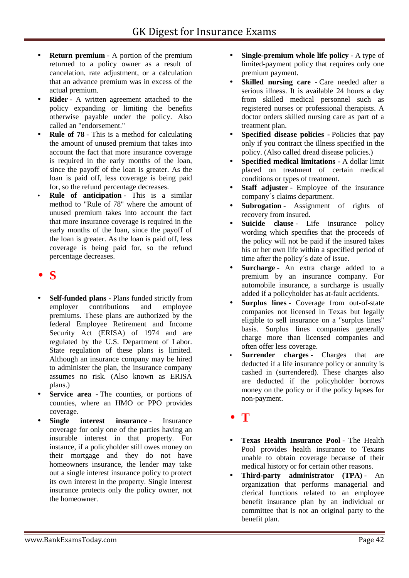- **Return premium** A portion of the premium returned to a policy owner as a result of cancelation, rate adjustment, or a calculation that an advance premium was in excess of the actual premium.
- **Rider** A written agreement attached to the policy expanding or limiting the benefits otherwise payable under the policy. Also called an "endorsement."
- **Rule of 78** This is a method for calculating the amount of unused premium that takes into account the fact that more insurance coverage is required in the early months of the loan, since the payoff of the loan is greater. As the loan is paid off, less coverage is being paid for, so the refund percentage decreases.
- **Rule of anticipation** This is a similar method to "Rule of 78" where the amount of unused premium takes into account the fact that more insurance coverage is required in the early months of the loan, since the payoff of the loan is greater. As the loan is paid off, less coverage is being paid for, so the refund percentage decreases.

## **S**

- **Self-funded plans -** Plans funded strictly from employer contributions and employee premiums. These plans are authorized by the federal Employee Retirement and Income Security Act (ERISA) of 1974 and are regulated by the U.S. Department of Labor. State regulation of these plans is limited. Although an insurance company may be hired to administer the plan, the insurance company assumes no risk. (Also known as ERISA plans.)
- **Service area -** The counties, or portions of counties, where an HMO or PPO provides coverage.
- **Single interest insurance** Insurance coverage for only one of the parties having an insurable interest in that property. For instance, if a policyholder still owes money on their mortgage and they do not have homeowners insurance, the lender may take out a single interest insurance policy to protect its own interest in the property. Single interest insurance protects only the policy owner, not the homeowner.
- **Single-premium whole life policy** A type of limited-payment policy that requires only one premium payment.
- **Skilled nursing care -** Care needed after a serious illness. It is available 24 hours a day from skilled medical personnel such as registered nurses or professional therapists. A doctor orders skilled nursing care as part of a treatment plan.
- **Specified disease policies -** Policies that pay only if you contract the illness specified in the policy. (Also called dread disease policies.)
- **Specified medical limitations -** A dollar limit placed on treatment of certain medical conditions or types of treatment.
- **Staff adjuster** Employee of the insurance company´s claims department.
- **Subrogation** Assignment of rights of recovery from insured.
- **Suicide clause** Life insurance policy wording which specifies that the proceeds of the policy will not be paid if the insured takes his or her own life within a specified period of time after the policy´s date of issue.
- **Surcharge** An extra charge added to a premium by an insurance company. For automobile insurance, a surcharge is usually added if a policyholder has at-fault accidents.
- **Surplus lines** Coverage from out-of-state companies not licensed in Texas but legally eligible to sell insurance on a "surplus lines" basis. Surplus lines companies generally charge more than licensed companies and often offer less coverage.
- **Surrender charges** Charges that are deducted if a life insurance policy or annuity is cashed in (surrendered). These charges also are deducted if the policyholder borrows money on the policy or if the policy lapses for non-payment.
- **T**
- **Texas Health Insurance Pool** The Health Pool provides health insurance to Texans unable to obtain coverage because of their medical history or for certain other reasons.
- **Third-party administrator (TPA)** An organization that performs managerial and clerical functions related to an employee benefit insurance plan by an individual or committee that is not an original party to the benefit plan.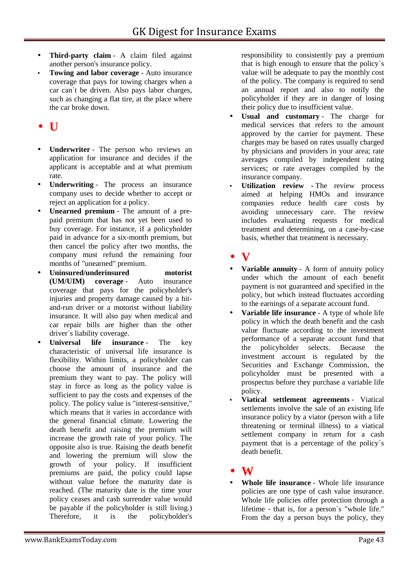- **Third-party claim** A claim filed against another person's insurance policy.
- **Towing and labor coverage** Auto insurance coverage that pays for towing charges when a car can´t be driven. Also pays labor charges, such as changing a flat tire, at the place where the car broke down.

## **U**

- **Underwriter** The person who reviews an application for insurance and decides if the applicant is acceptable and at what premium rate.
- **Underwriting** The process an insurance company uses to decide whether to accept or reject an application for a policy.
- **Unearned premium** The amount of a pre paid premium that has not yet been used to buy coverage. For instance, if a policyholder paid in advance for a six-month premium, but then cancel the policy after two months, the company must refund the remaining four months of "unearned" premium.
- **Uninsured/underinsured motorist (UM/UIM) coverage** - Auto insurance coverage that pays for the policyholder's injuries and property damage caused by a hit and-run driver or a motorist without liability insurance. It will also pay when medical and car repair bills are higher than the other driver´s liability coverage.
- **Universal life insurance** The key characteristic of universal life insurance is flexibility. Within limits, a policyholder can choose the amount of insurance and the premium they want to pay. The policy will stay in force as long as the policy value is sufficient to pay the costs and expenses of the policy. The policy value is "interest-sensitive," which means that it varies in accordance with the general financial climate. Lowering the death benefit and raising the premium will increase the growth rate of your policy. The opposite also is true. Raising the death benefit and lowering the premium will slow the growth of your policy. If insufficient premiums are paid, the policy could lapse without value before the maturity date is reached. (The maturity date is the time your policy ceases and cash surrender value would be payable if the policyholder is still living.) Therefore, it is the policyholder's

responsibility to consistently pay a premium that is high enough to ensure that the policy´s value will be adequate to pay the monthly cost of the policy. The company is required to send an annual report and also to notify the policyholder if they are in danger of losing their policy due to insufficient value.

- **Usual and customary** The charge for medical services that refers to the amount approved by the carrier for payment. These charges may be based on rates usually charged by physicians and providers in your area; rate averages compiled by independent rating services; or rate averages compiled by the insurance company.
- **Utilization review -** The review process aimed at helping HMOs and insurance companies reduce health care costs by avoiding unnecessary care. The review includes evaluating requests for medical treatment and determining, on a case-by-case basis, whether that treatment is necessary.

## **V**

- **Variable annuity** A form of annuity policy under which the amount of each benefit payment is not guaranteed and specified in the policy, but which instead fluctuates according to the earnings of a separate account fund.
- **Variable life insurance** A type of whole life policy in which the death benefit and the cash value fluctuate according to the investment performance of a separate account fund that the policyholder selects. Because the investment account is regulated by the Securities and Exchange Commission, the policyholder must be presented with a prospectus before they purchase a variable life policy.
- **Viatical settlement agreements** Viatical settlements involve the sale of an existing life insurance policy by a viator (person with a life threatening or terminal illness) to a viatical settlement company in return for a cash payment that is a percentage of the policy´s death benefit.

## **W**

 **Whole life insurance** - Whole life insurance policies are one type of cash value insurance. Whole life policies offer protection through a lifetime - that is, for a person´s "whole life." From the day a person buys the policy, they